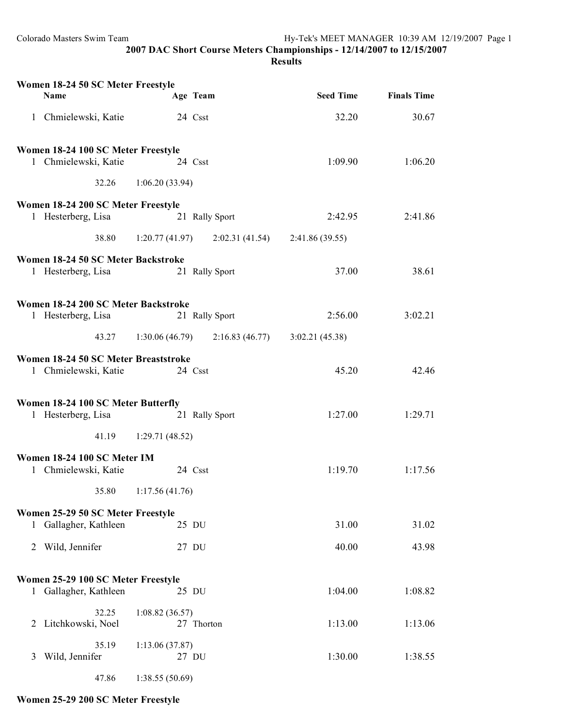**2007 DAC Short Course Meters Championships - 12/14/2007 to 12/15/2007 Results**

| Women 18-24 50 SC Meter Freestyle<br><b>Name</b>             | Age Team                                           | <b>Seed Time</b> | <b>Finals Time</b> |
|--------------------------------------------------------------|----------------------------------------------------|------------------|--------------------|
| 1 Chmielewski, Katie                                         | 24 Csst                                            | 32.20            | 30.67              |
| Women 18-24 100 SC Meter Freestyle                           |                                                    |                  |                    |
| 1 Chmielewski, Katie                                         | 24 Csst                                            | 1:09.90          | 1:06.20            |
| 32.26                                                        | 1:06.20(33.94)                                     |                  |                    |
| Women 18-24 200 SC Meter Freestyle                           |                                                    |                  |                    |
| 1 Hesterberg, Lisa                                           | 21 Rally Sport                                     | 2:42.95          | 2:41.86            |
| 38.80                                                        | 1:20.77 (41.97) 2:02.31 (41.54) 2:41.86 (39.55)    |                  |                    |
| Women 18-24 50 SC Meter Backstroke                           |                                                    |                  |                    |
| 1 Hesterberg, Lisa                                           | 21 Rally Sport                                     | 37.00            | 38.61              |
| Women 18-24 200 SC Meter Backstroke                          |                                                    |                  |                    |
| 1 Hesterberg, Lisa                                           | 21 Rally Sport                                     | 2:56.00          | 3:02.21            |
| 43.27                                                        | $1:30.06(46.79)$ $2:16.83(46.77)$ $3:02.21(45.38)$ |                  |                    |
| Women 18-24 50 SC Meter Breaststroke<br>1 Chmielewski, Katie | 24 Csst                                            | 45.20            | 42.46              |
|                                                              |                                                    |                  |                    |
| Women 18-24 100 SC Meter Butterfly                           |                                                    |                  |                    |
| 1 Hesterberg, Lisa                                           | 21 Rally Sport                                     | 1:27.00          | 1:29.71            |
| 41.19                                                        | 1:29.71(48.52)                                     |                  |                    |
| Women 18-24 100 SC Meter IM                                  |                                                    |                  |                    |
| 1 Chmielewski, Katie                                         | 24 Csst                                            | 1:19.70          | 1:17.56            |
|                                                              | 35.80 1:17.56 (41.76)                              |                  |                    |
| Women 25-29 50 SC Meter Freestyle                            |                                                    |                  |                    |
| 1 Gallagher, Kathleen                                        | 25 DU                                              | 31.00            | 31.02              |
| 2 Wild, Jennifer                                             | 27 DU                                              | 40.00            | 43.98              |
| Women 25-29 100 SC Meter Freestyle                           |                                                    |                  |                    |
| 1 Gallagher, Kathleen                                        | 25 DU                                              | 1:04.00          | 1:08.82            |
| 32.25                                                        | 1:08.82(36.57)                                     |                  |                    |
| 2 Litchkowski, Noel                                          | 27 Thorton                                         | 1:13.00          | 1:13.06            |
| 35.19                                                        | 1:13.06(37.87)                                     |                  |                    |
| Wild, Jennifer<br>3                                          | 27 DU                                              | 1:30.00          | 1:38.55            |
| 47.86                                                        | 1:38.55(50.69)                                     |                  |                    |

## **Women 25-29 200 SC Meter Freestyle**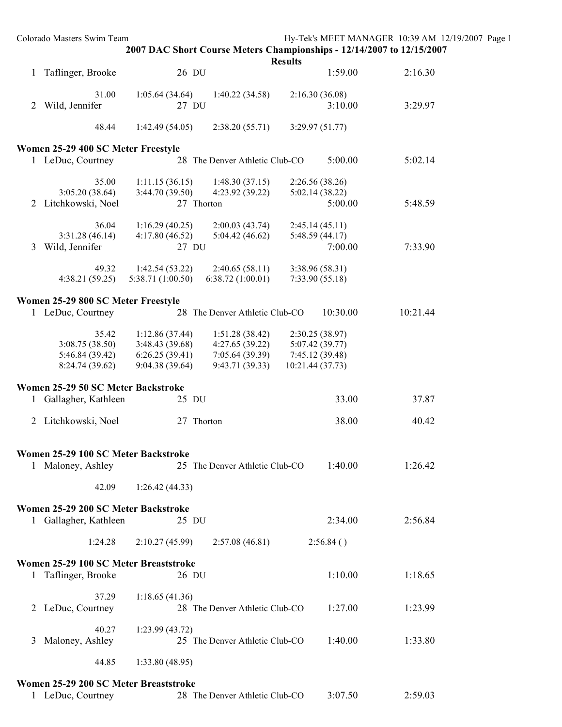|   | Colorado Masters Swim Team                               |                                  | 2007 DAC Short Course Meters Championships - 12/14/2007 to 12/15/2007 |                |                           | Hy-Tek's MEET MANAGER 10:39 AM 12/19/2007 Page 1 |  |
|---|----------------------------------------------------------|----------------------------------|-----------------------------------------------------------------------|----------------|---------------------------|--------------------------------------------------|--|
|   |                                                          |                                  |                                                                       | <b>Results</b> |                           |                                                  |  |
|   | 1 Taflinger, Brooke                                      | 26 DU                            |                                                                       |                | 1:59.00                   | 2:16.30                                          |  |
|   | 31.00                                                    | 1:05.64(34.64)                   | 1:40.22(34.58)                                                        |                | 2:16.30(36.08)            |                                                  |  |
| 2 | Wild, Jennifer                                           | 27 DU                            |                                                                       |                | 3:10.00                   | 3:29.97                                          |  |
|   |                                                          |                                  |                                                                       |                |                           |                                                  |  |
|   | 48.44                                                    | 1:42.49(54.05)                   | 2:38.20(55.71)                                                        |                | 3:29.97(51.77)            |                                                  |  |
|   |                                                          |                                  |                                                                       |                |                           |                                                  |  |
|   | Women 25-29 400 SC Meter Freestyle<br>1 LeDuc, Courtney  |                                  |                                                                       |                | 5:00.00                   | 5:02.14                                          |  |
|   |                                                          |                                  | 28 The Denver Athletic Club-CO                                        |                |                           |                                                  |  |
|   | 35.00                                                    | 1:11.15(36.15)                   | 1:48.30(37.15)                                                        |                | 2:26.56(38.26)            |                                                  |  |
|   | 3:05.20(38.64)                                           | 3:44.70 (39.50)                  | 4:23.92 (39.22)                                                       |                | 5:02.14(38.22)            |                                                  |  |
|   | 2 Litchkowski, Noel                                      |                                  | 27 Thorton                                                            |                | 5:00.00                   | 5:48.59                                          |  |
|   |                                                          |                                  |                                                                       |                |                           |                                                  |  |
|   | 36.04                                                    | 1:16.29(40.25)<br>4:17.80(46.52) | 2:00.03(43.74)                                                        |                | 2:45.14(45.11)            |                                                  |  |
| 3 | 3:31.28(46.14)<br>Wild, Jennifer                         | 27 DU                            | 5:04.42(46.62)                                                        |                | 5:48.59(44.17)<br>7:00.00 | 7:33.90                                          |  |
|   |                                                          |                                  |                                                                       |                |                           |                                                  |  |
|   | 49.32                                                    | 1:42.54(53.22)                   | 2:40.65(58.11)                                                        |                | 3:38.96 (58.31)           |                                                  |  |
|   | 4:38.21(59.25)                                           | 5:38.71 (1:00.50)                | 6:38.72(1:00.01)                                                      |                | 7:33.90(55.18)            |                                                  |  |
|   |                                                          |                                  |                                                                       |                |                           |                                                  |  |
|   | Women 25-29 800 SC Meter Freestyle                       |                                  |                                                                       |                |                           |                                                  |  |
|   | 1 LeDuc, Courtney                                        |                                  | 28 The Denver Athletic Club-CO                                        |                | 10:30.00                  | 10:21.44                                         |  |
|   | 35.42                                                    | 1:12.86(37.44)                   | 1:51.28(38.42)                                                        |                | 2:30.25 (38.97)           |                                                  |  |
|   | 3:08.75(38.50)                                           | 3:48.43 (39.68)                  | 4:27.65(39.22)                                                        |                | 5:07.42 (39.77)           |                                                  |  |
|   | 5:46.84 (39.42)                                          | 6:26.25(39.41)                   | 7:05.64(39.39)                                                        |                | 7:45.12 (39.48)           |                                                  |  |
|   | 8:24.74 (39.62)                                          | 9:04.38 (39.64)                  | 9:43.71(39.33)                                                        |                | 10:21.44 (37.73)          |                                                  |  |
|   | Women 25-29 50 SC Meter Backstroke                       |                                  |                                                                       |                |                           |                                                  |  |
|   | 1 Gallagher, Kathleen                                    | 25 DU                            |                                                                       |                | 33.00                     | 37.87                                            |  |
|   |                                                          |                                  |                                                                       |                |                           |                                                  |  |
|   | 2 Litchkowski, Noel                                      |                                  | 27 Thorton                                                            |                | 38.00                     | 40.42                                            |  |
|   |                                                          |                                  |                                                                       |                |                           |                                                  |  |
|   |                                                          |                                  |                                                                       |                |                           |                                                  |  |
|   | Women 25-29 100 SC Meter Backstroke<br>1 Maloney, Ashley |                                  | 25 The Denver Athletic Club-CO                                        |                | 1:40.00                   | 1:26.42                                          |  |
|   |                                                          |                                  |                                                                       |                |                           |                                                  |  |
|   | 42.09                                                    | 1:26.42(44.33)                   |                                                                       |                |                           |                                                  |  |
|   |                                                          |                                  |                                                                       |                |                           |                                                  |  |
|   | Women 25-29 200 SC Meter Backstroke                      |                                  |                                                                       |                |                           |                                                  |  |
|   | 1 Gallagher, Kathleen                                    | 25 DU                            |                                                                       |                | 2:34.00                   | 2:56.84                                          |  |
|   | 1:24.28                                                  | 2:10.27(45.99)                   | 2:57.08(46.81)                                                        |                | 2:56.84()                 |                                                  |  |
|   |                                                          |                                  |                                                                       |                |                           |                                                  |  |
|   | Women 25-29 100 SC Meter Breaststroke                    |                                  |                                                                       |                |                           |                                                  |  |
|   | 1 Taflinger, Brooke                                      | 26 DU                            |                                                                       |                | 1:10.00                   | 1:18.65                                          |  |
|   |                                                          |                                  |                                                                       |                |                           |                                                  |  |
|   | 37.29                                                    | 1:18.65(41.36)                   |                                                                       |                |                           |                                                  |  |
|   | 2 LeDuc, Courtney                                        |                                  | 28 The Denver Athletic Club-CO                                        |                | 1:27.00                   | 1:23.99                                          |  |
|   | 40.27                                                    | 1:23.99(43.72)                   |                                                                       |                |                           |                                                  |  |
| 3 | Maloney, Ashley                                          |                                  | 25 The Denver Athletic Club-CO                                        |                | 1:40.00                   | 1:33.80                                          |  |
|   |                                                          |                                  |                                                                       |                |                           |                                                  |  |
|   | 44.85                                                    | 1:33.80(48.95)                   |                                                                       |                |                           |                                                  |  |
|   |                                                          |                                  |                                                                       |                |                           |                                                  |  |
|   | Women 25-29 200 SC Meter Breaststroke                    |                                  |                                                                       |                |                           |                                                  |  |
|   | 1 LeDuc, Courtney                                        |                                  | 28 The Denver Athletic Club-CO                                        |                | 3:07.50                   | 2:59.03                                          |  |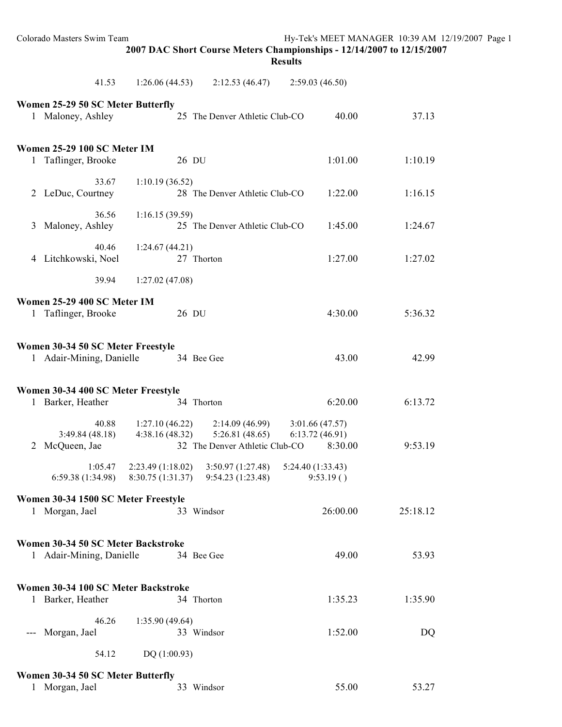| Colorado Masters Swim Team                                     |                                        | 2007 DAC Short Course Meters Championships - 12/14/2007 to 12/15/2007 | <b>Results</b>                              | Hy-Tek's MEET MANAGER 10:39 AM 12/19/2007 Page 1 |  |
|----------------------------------------------------------------|----------------------------------------|-----------------------------------------------------------------------|---------------------------------------------|--------------------------------------------------|--|
| 41.53                                                          | 1:26.06(44.53)                         | 2:12.53(46.47)                                                        | 2:59.03(46.50)                              |                                                  |  |
| Women 25-29 50 SC Meter Butterfly<br>1 Maloney, Ashley         |                                        | 25 The Denver Athletic Club-CO                                        | 40.00                                       | 37.13                                            |  |
| Women 25-29 100 SC Meter IM<br>1 Taflinger, Brooke             | 26 DU                                  |                                                                       | 1:01.00                                     | 1:10.19                                          |  |
| 33.67<br>2 LeDuc, Courtney                                     | 1:10.19(36.52)                         | 28 The Denver Athletic Club-CO                                        | 1:22.00                                     | 1:16.15                                          |  |
| 36.56<br>3 Maloney, Ashley                                     | 1:16.15(39.59)                         | 25 The Denver Athletic Club-CO                                        | 1:45.00                                     | 1:24.67                                          |  |
| 40.46<br>4 Litchkowski, Noel                                   | 1:24.67(44.21)                         | 27 Thorton                                                            | 1:27.00                                     | 1:27.02                                          |  |
| 39.94                                                          | 1:27.02(47.08)                         |                                                                       |                                             |                                                  |  |
| Women 25-29 400 SC Meter IM<br>1 Taflinger, Brooke             | 26 DU                                  |                                                                       | 4:30.00                                     | 5:36.32                                          |  |
| Women 30-34 50 SC Meter Freestyle<br>1 Adair-Mining, Danielle  |                                        | 34 Bee Gee                                                            | 43.00                                       | 42.99                                            |  |
| Women 30-34 400 SC Meter Freestyle<br>1 Barker, Heather        |                                        | 34 Thorton                                                            | 6:20.00                                     | 6:13.72                                          |  |
| 40.88<br>3:49.84(48.18)<br>2 McQueen, Jae                      | 1:27.10(46.22)<br>4:38.16(48.32)       | 2:14.09(46.99)<br>5:26.81(48.65)<br>32 The Denver Athletic Club-CO    | 3:01.66(47.57)<br>6:13.72(46.91)<br>8:30.00 | 9:53.19                                          |  |
| 1:05.47<br>6:59.38 (1:34.98)                                   | 2:23.49 (1:18.02)<br>8:30.75 (1:31.37) | 3:50.97(1:27.48)<br>9:54.23 (1:23.48)                                 | 5:24.40 (1:33.43)<br>9:53.19()              |                                                  |  |
| Women 30-34 1500 SC Meter Freestyle<br>1 Morgan, Jael          |                                        | 33 Windsor                                                            | 26:00.00                                    | 25:18.12                                         |  |
| Women 30-34 50 SC Meter Backstroke<br>1 Adair-Mining, Danielle |                                        | 34 Bee Gee                                                            | 49.00                                       | 53.93                                            |  |
| Women 30-34 100 SC Meter Backstroke<br>1 Barker, Heather       |                                        | 34 Thorton                                                            | 1:35.23                                     | 1:35.90                                          |  |
| 46.26<br>Morgan, Jael                                          | 1:35.90 (49.64)                        | 33 Windsor                                                            | 1:52.00                                     | DQ                                               |  |
| 54.12                                                          | DQ (1:00.93)                           |                                                                       |                                             |                                                  |  |
| Women 30-34 50 SC Meter Butterfly<br>1 Morgan, Jael            |                                        | 33 Windsor                                                            | 55.00                                       | 53.27                                            |  |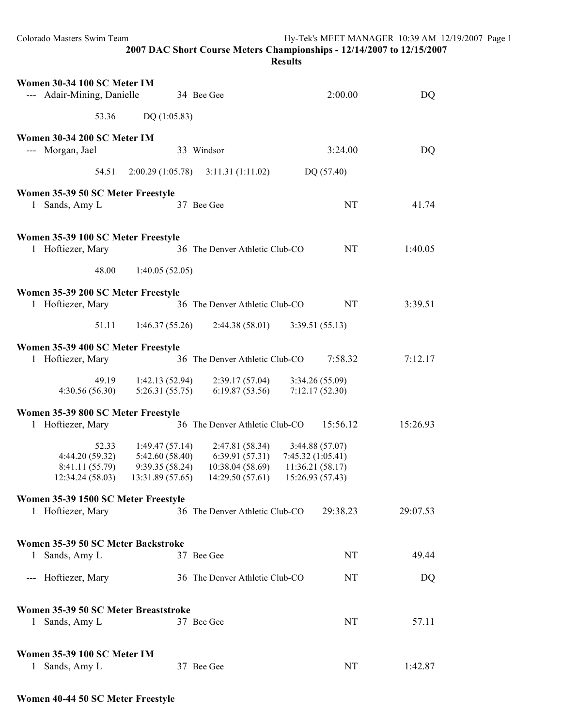|                                                             |                                                                                                                                                                                    | <b>Results</b>                                        |          |
|-------------------------------------------------------------|------------------------------------------------------------------------------------------------------------------------------------------------------------------------------------|-------------------------------------------------------|----------|
| Women 30-34 100 SC Meter IM<br>--- Adair-Mining, Danielle   | 34 Bee Gee                                                                                                                                                                         | 2:00.00                                               | DQ       |
| 53.36                                                       | DQ(1:05.83)                                                                                                                                                                        |                                                       |          |
| Women 30-34 200 SC Meter IM                                 |                                                                                                                                                                                    |                                                       |          |
| --- Morgan, Jael                                            | 33 Windsor                                                                                                                                                                         | 3:24.00                                               | DQ       |
| 54.51                                                       | $2:00.29(1:05.78)$ $3:11.31(1:11.02)$                                                                                                                                              | DQ (57.40)                                            |          |
| Women 35-39 50 SC Meter Freestyle<br>1 Sands, Amy L         | 37 Bee Gee                                                                                                                                                                         | <b>NT</b>                                             | 41.74    |
| Women 35-39 100 SC Meter Freestyle<br>1 Hoftiezer, Mary     | 36 The Denver Athletic Club-CO                                                                                                                                                     | <b>NT</b>                                             | 1:40.05  |
| 48.00                                                       | 1:40.05(52.05)                                                                                                                                                                     |                                                       |          |
| Women 35-39 200 SC Meter Freestyle<br>1 Hoftiezer, Mary     | 36 The Denver Athletic Club-CO                                                                                                                                                     | <b>NT</b>                                             | 3:39.51  |
| 51.11                                                       | 1:46.37(55.26)<br>2:44.38(58.01)                                                                                                                                                   | 3:39.51(55.13)                                        |          |
| Women 35-39 400 SC Meter Freestyle<br>1 Hoftiezer, Mary     | 36 The Denver Athletic Club-CO                                                                                                                                                     | 7:58.32                                               | 7:12.17  |
| 49.19<br>4:30.56(56.30)                                     | 1:42.13(52.94)<br>2:39.17(57.04)<br>5:26.31(55.75)<br>6:19.87(53.56)                                                                                                               | 3:34.26 (55.09)<br>7:12.17(52.30)                     |          |
| Women 35-39 800 SC Meter Freestyle<br>1 Hoftiezer, Mary     | 36 The Denver Athletic Club-CO                                                                                                                                                     | 15:56.12                                              | 15:26.93 |
| 52.33<br>4:44.20 (59.32)<br>8:41.11 (55.79)                 | 1:49.47(57.14)<br>2:47.81 (58.34)<br>5:42.60(58.40)<br>6:39.91(57.31)<br>9:39.35(58.24)<br>10:38.04 (58.69)<br>12:34.24 (58.03) 13:31.89 (57.65) 14:29.50 (57.61) 15:26.93 (57.43) | 3:44.88(57.07)<br>7:45.32(1:05.41)<br>11:36.21(58.17) |          |
| Women 35-39 1500 SC Meter Freestyle<br>1 Hoftiezer, Mary    | 36 The Denver Athletic Club-CO                                                                                                                                                     | 29:38.23                                              | 29:07.53 |
| Women 35-39 50 SC Meter Backstroke<br>Sands, Amy L<br>1.    | 37 Bee Gee                                                                                                                                                                         | <b>NT</b>                                             | 49.44    |
| --- Hoftiezer, Mary                                         | 36 The Denver Athletic Club-CO                                                                                                                                                     | NT                                                    | DQ       |
| Women 35-39 50 SC Meter Breaststroke<br>1 Sands, Amy L      | 37 Bee Gee                                                                                                                                                                         | <b>NT</b>                                             | 57.11    |
| Women 35-39 100 SC Meter IM<br>Sands, Amy L<br>$\mathbf{1}$ | 37 Bee Gee                                                                                                                                                                         | <b>NT</b>                                             | 1:42.87  |

**2007 DAC Short Course Meters Championships - 12/14/2007 to 12/15/2007**

**Women 40-44 50 SC Meter Freestyle**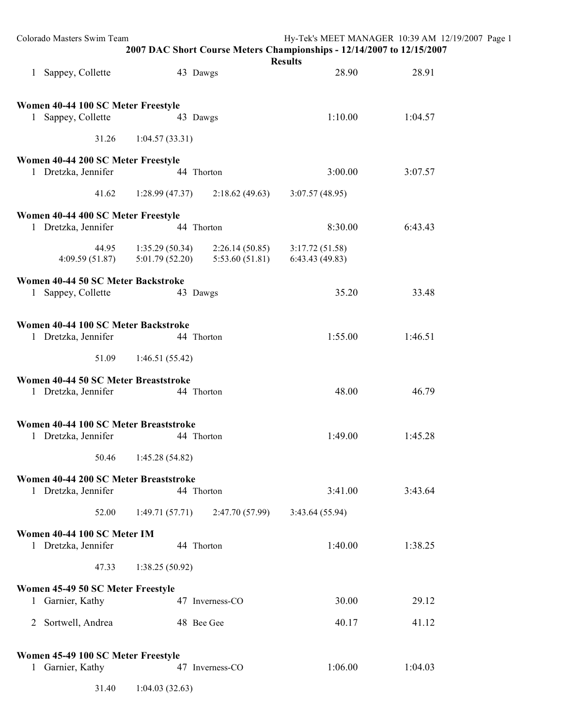|              | Colorado Masters Swim Team                                   |                                  | 2007 DAC Short Course Meters Championships - 12/14/2007 to 12/15/2007 | Hy-Tek's MEET MANAGER 10:39 AM 12/19/2007 Page 1<br><b>Results</b> |         |  |
|--------------|--------------------------------------------------------------|----------------------------------|-----------------------------------------------------------------------|--------------------------------------------------------------------|---------|--|
|              | 1 Sappey, Collette                                           |                                  | 43 Dawgs                                                              | 28.90                                                              | 28.91   |  |
|              | Women 40-44 100 SC Meter Freestyle<br>1 Sappey, Collette     |                                  | 43 Dawgs                                                              | 1:10.00                                                            | 1:04.57 |  |
|              | 31.26                                                        | 1:04.57(33.31)                   |                                                                       |                                                                    |         |  |
|              | Women 40-44 200 SC Meter Freestyle                           |                                  |                                                                       |                                                                    |         |  |
|              | 1 Dretzka, Jennifer                                          |                                  | 44 Thorton                                                            | 3:00.00                                                            | 3:07.57 |  |
|              | 41.62                                                        | 1:28.99(47.37)                   | 2:18.62(49.63)                                                        | 3:07.57(48.95)                                                     |         |  |
|              | Women 40-44 400 SC Meter Freestyle<br>1 Dretzka, Jennifer    |                                  | 44 Thorton                                                            | 8:30.00                                                            | 6:43.43 |  |
|              | 44.95<br>4:09.59(51.87)                                      | 1:35.29(50.34)<br>5:01.79(52.20) | 2:26.14(50.85)<br>5:53.60(51.81)                                      | 3:17.72(51.58)<br>6:43.43(49.83)                                   |         |  |
| $\mathbf{1}$ | Women 40-44 50 SC Meter Backstroke<br>Sappey, Collette       |                                  | 43 Dawgs                                                              | 35.20                                                              | 33.48   |  |
|              | Women 40-44 100 SC Meter Backstroke<br>1 Dretzka, Jennifer   |                                  | 44 Thorton                                                            | 1:55.00                                                            | 1:46.51 |  |
|              | 51.09                                                        | 1:46.51(55.42)                   |                                                                       |                                                                    |         |  |
|              | Women 40-44 50 SC Meter Breaststroke<br>1 Dretzka, Jennifer  |                                  | 44 Thorton                                                            | 48.00                                                              | 46.79   |  |
|              | Women 40-44 100 SC Meter Breaststroke<br>1 Dretzka, Jennifer |                                  | 44 Thorton                                                            | 1:49.00                                                            | 1:45.28 |  |
|              | 50.46                                                        | 1:45.28(54.82)                   |                                                                       |                                                                    |         |  |
|              | Women 40-44 200 SC Meter Breaststroke<br>1 Dretzka, Jennifer |                                  | 44 Thorton                                                            | 3:41.00                                                            | 3:43.64 |  |
|              | 52.00                                                        | 1:49.71(57.71)                   | 2:47.70(57.99)                                                        | 3:43.64(55.94)                                                     |         |  |
|              | Women 40-44 100 SC Meter IM<br>1 Dretzka, Jennifer           |                                  | 44 Thorton                                                            | 1:40.00                                                            | 1:38.25 |  |
|              | 47.33                                                        | 1:38.25(50.92)                   |                                                                       |                                                                    |         |  |
|              | Women 45-49 50 SC Meter Freestyle                            |                                  |                                                                       |                                                                    |         |  |
|              | 1 Garnier, Kathy                                             |                                  | 47 Inverness-CO                                                       | 30.00                                                              | 29.12   |  |
|              | 2 Sortwell, Andrea                                           |                                  | 48 Bee Gee                                                            | 40.17                                                              | 41.12   |  |
|              | Women 45-49 100 SC Meter Freestyle<br>1 Garnier, Kathy       |                                  | 47 Inverness-CO                                                       | 1:06.00                                                            | 1:04.03 |  |
|              | 31.40                                                        | 1:04.03(32.63)                   |                                                                       |                                                                    |         |  |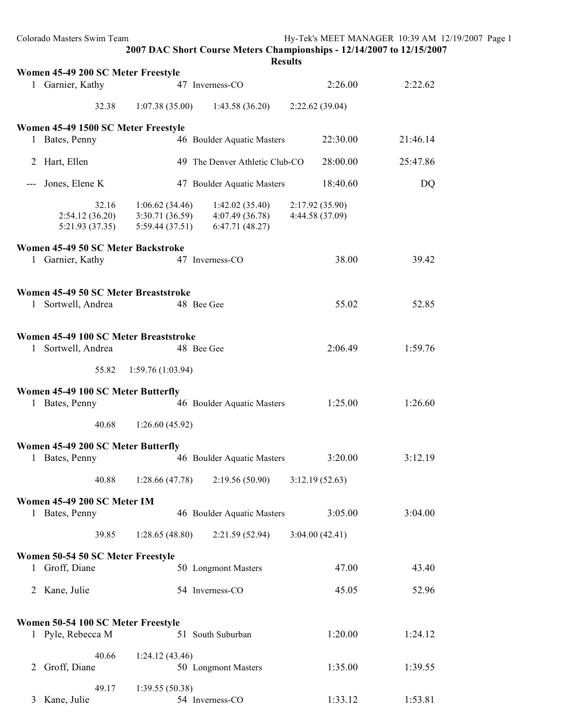|              | Colorado Masters Swim Team                                 |                                                    | 2007 DAC Short Course Meters Championships - 12/14/2007 to 12/15/2007<br><b>Results</b> |                                   | Hy-Tek's MEET MANAGER 10:39 AM 12/19/2007 Page 1 |  |
|--------------|------------------------------------------------------------|----------------------------------------------------|-----------------------------------------------------------------------------------------|-----------------------------------|--------------------------------------------------|--|
|              | Women 45-49 200 SC Meter Freestyle                         |                                                    |                                                                                         |                                   |                                                  |  |
|              | 1 Garnier, Kathy                                           |                                                    | 47 Inverness-CO                                                                         | 2:26.00                           | 2:22.62                                          |  |
|              | 32.38                                                      | 1:07.38(35.00)                                     | 1:43.58(36.20)                                                                          | 2:22.62(39.04)                    |                                                  |  |
|              | Women 45-49 1500 SC Meter Freestyle<br>1 Bates, Penny      |                                                    | 46 Boulder Aquatic Masters                                                              | 22:30.00                          | 21:46.14                                         |  |
|              | 2 Hart, Ellen                                              |                                                    | 49 The Denver Athletic Club-CO                                                          | 28:00.00                          | 25:47.86                                         |  |
| $---$        | Jones, Elene K                                             |                                                    | 47 Boulder Aquatic Masters                                                              | 18:40.60                          | DQ                                               |  |
|              | 32.16<br>2:54.12(36.20)<br>5:21.93(37.35)                  | 1:06.62(34.46)<br>3:30.71(36.59)<br>5:59.44(37.51) | 1:42.02(35.40)<br>4:07.49(36.78)<br>6:47.71(48.27)                                      | 2:17.92(35.90)<br>4:44.58 (37.09) |                                                  |  |
|              | Women 45-49 50 SC Meter Backstroke<br>1 Garnier, Kathy     |                                                    | 47 Inverness-CO                                                                         | 38.00                             | 39.42                                            |  |
|              | Women 45-49 50 SC Meter Breaststroke<br>1 Sortwell, Andrea |                                                    | 48 Bee Gee                                                                              | 55.02                             | 52.85                                            |  |
| $\mathbf{1}$ | Women 45-49 100 SC Meter Breaststroke<br>Sortwell, Andrea  |                                                    | 48 Bee Gee                                                                              | 2:06.49                           | 1:59.76                                          |  |
|              | 55.82                                                      | 1:59.76(1:03.94)                                   |                                                                                         |                                   |                                                  |  |
|              | Women 45-49 100 SC Meter Butterfly<br>1 Bates, Penny       |                                                    | 46 Boulder Aquatic Masters                                                              | 1:25.00                           | 1:26.60                                          |  |
|              | 40.68                                                      | 1:26.60(45.92)                                     |                                                                                         |                                   |                                                  |  |
|              | Women 45-49 200 SC Meter Butterfly<br>1 Bates, Penny       |                                                    | 46 Boulder Aquatic Masters                                                              | 3:20.00                           | 3:12.19                                          |  |
|              | 40.88                                                      | 1:28.66(47.78)                                     | 2:19.56 (50.90)                                                                         | 3:12.19(52.63)                    |                                                  |  |
|              | Women 45-49 200 SC Meter IM<br>1 Bates, Penny              |                                                    | 46 Boulder Aquatic Masters                                                              | 3:05.00                           | 3:04.00                                          |  |
|              | 39.85                                                      | 1:28.65(48.80)                                     | 2:21.59(52.94)                                                                          | 3:04.00(42.41)                    |                                                  |  |
|              | Women 50-54 50 SC Meter Freestyle<br>1 Groff, Diane        |                                                    | 50 Longmont Masters                                                                     | 47.00                             | 43.40                                            |  |
|              | 2 Kane, Julie                                              |                                                    | 54 Inverness-CO                                                                         | 45.05                             | 52.96                                            |  |
|              |                                                            |                                                    |                                                                                         |                                   |                                                  |  |
|              | Women 50-54 100 SC Meter Freestyle<br>1 Pyle, Rebecca M    |                                                    | 51 South Suburban                                                                       | 1:20.00                           | 1:24.12                                          |  |
| 2            | 40.66<br>Groff, Diane                                      | 1:24.12(43.46)                                     | 50 Longmont Masters                                                                     | 1:35.00                           | 1:39.55                                          |  |
|              | 49.17<br>3 Kane, Julie                                     | 1:39.55(50.38)                                     | 54 Inverness-CO                                                                         | 1:33.12                           | 1:53.81                                          |  |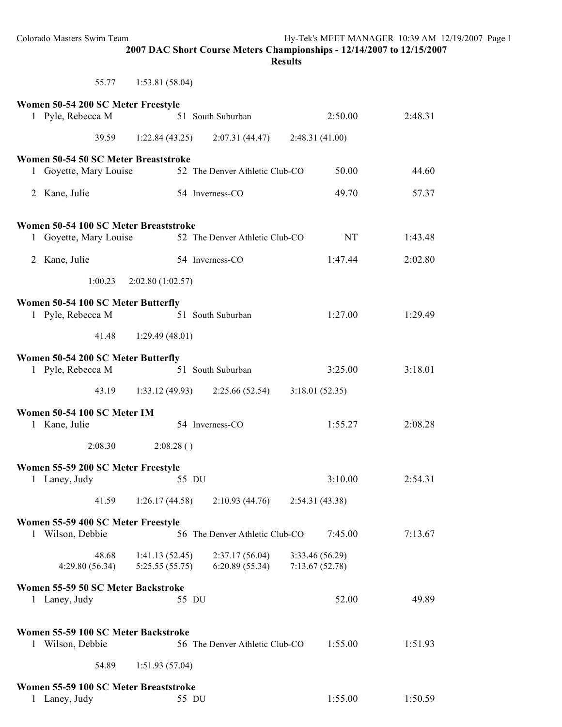#### **Results**

| 55.77 | 1:53.81(58.04) |  |
|-------|----------------|--|
|       |                |  |

| Women 50-54 200 SC Meter Freestyle                      |                                  |                                   |                                   |         |
|---------------------------------------------------------|----------------------------------|-----------------------------------|-----------------------------------|---------|
| 1 Pyle, Rebecca M                                       |                                  | 51 South Suburban                 | 2:50.00                           | 2:48.31 |
| 39.59                                                   |                                  | $1:22.84(43.25)$ $2:07.31(44.47)$ | 2:48.31(41.00)                    |         |
| Women 50-54 50 SC Meter Breaststroke                    |                                  |                                   |                                   |         |
| 1 Goyette, Mary Louise                                  |                                  | 52 The Denver Athletic Club-CO    | 50.00                             | 44.60   |
| 2 Kane, Julie                                           |                                  | 54 Inverness-CO                   | 49.70                             | 57.37   |
| Women 50-54 100 SC Meter Breaststroke                   |                                  |                                   |                                   |         |
| 1 Goyette, Mary Louise                                  |                                  | 52 The Denver Athletic Club-CO    | <b>NT</b>                         | 1:43.48 |
| Kane, Julie<br>2                                        |                                  | 54 Inverness-CO                   | 1:47.44                           | 2:02.80 |
| 1:00.23                                                 | 2:02.80(1:02.57)                 |                                   |                                   |         |
| Women 50-54 100 SC Meter Butterfly<br>1 Pyle, Rebecca M |                                  | 51 South Suburban                 | 1:27.00                           | 1:29.49 |
| 41.48                                                   | 1:29.49(48.01)                   |                                   |                                   |         |
|                                                         |                                  |                                   |                                   |         |
| Women 50-54 200 SC Meter Butterfly<br>1 Pyle, Rebecca M |                                  | 51 South Suburban                 | 3:25.00                           | 3:18.01 |
| 43.19                                                   |                                  | $1:33.12(49.93)$ $2:25.66(52.54)$ | 3:18.01(52.35)                    |         |
| Women 50-54 100 SC Meter IM                             |                                  |                                   |                                   |         |
| 1 Kane, Julie                                           |                                  | 54 Inverness-CO                   | 1:55.27                           | 2:08.28 |
| 2:08.30                                                 | 2:08.28()                        |                                   |                                   |         |
| Women 55-59 200 SC Meter Freestyle                      |                                  |                                   |                                   |         |
| 1 Laney, Judy                                           |                                  | 55 DU                             | 3:10.00                           | 2:54.31 |
| 41.59                                                   | 1:26.17(44.58)                   | 2:10.93(44.76)                    | 2:54.31 (43.38)                   |         |
| Women 55-59 400 SC Meter Freestyle                      |                                  |                                   |                                   |         |
| 1 Wilson, Debbie                                        |                                  | 56 The Denver Athletic Club-CO    | 7:45.00                           | 7:13.67 |
| 48.68<br>4:29.80(56.34)                                 | 1:41.13(52.45)<br>5:25.55(55.75) | 2:37.17(56.04)<br>6:20.89(55.34)  | 3:33.46 (56.29)<br>7:13.67(52.78) |         |
| Women 55-59 50 SC Meter Backstroke                      |                                  |                                   |                                   |         |
| 1 Laney, Judy                                           |                                  | 55 DU                             | 52.00                             | 49.89   |
| Women 55-59 100 SC Meter Backstroke                     |                                  |                                   |                                   |         |
| 1 Wilson, Debbie                                        |                                  | 56 The Denver Athletic Club-CO    | 1:55.00                           | 1:51.93 |
| 54.89                                                   | 1:51.93(57.04)                   |                                   |                                   |         |
| Women 55-59 100 SC Meter Breaststroke                   |                                  |                                   |                                   |         |
| 1 Laney, Judy                                           |                                  | 55 DU                             | 1:55.00                           | 1:50.59 |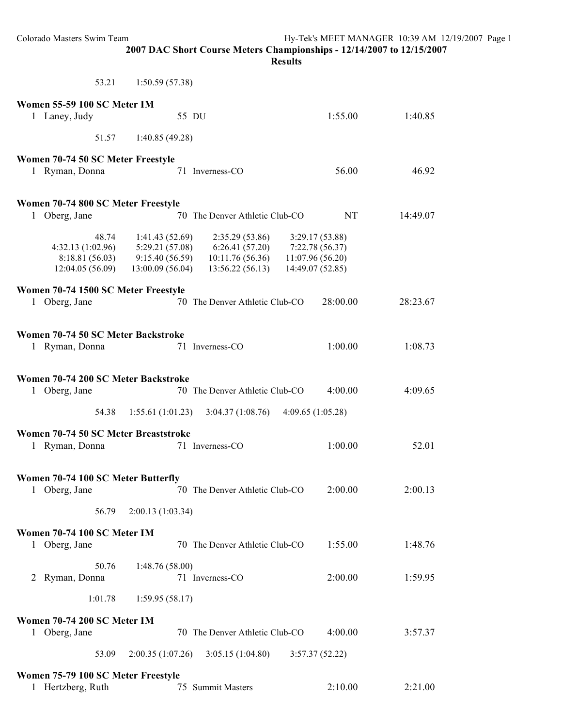| Colorado Masters Swim Team                                                                                   |                                   | Hy-Tek's MEET MANAGER 10:39 AM 12/19/2007 Page 1<br>2007 DAC Short Course Meters Championships - 12/14/2007 to 12/15/2007<br><b>Results</b> |                                     |                    |  |
|--------------------------------------------------------------------------------------------------------------|-----------------------------------|---------------------------------------------------------------------------------------------------------------------------------------------|-------------------------------------|--------------------|--|
| 53.21                                                                                                        | 1:50.59(57.38)                    |                                                                                                                                             |                                     |                    |  |
| Women 55-59 100 SC Meter IM                                                                                  |                                   |                                                                                                                                             |                                     |                    |  |
| 1 Laney, Judy                                                                                                | 55 DU                             |                                                                                                                                             | 1:55.00                             | 1:40.85            |  |
| 51.57                                                                                                        | 1:40.85(49.28)                    |                                                                                                                                             |                                     |                    |  |
| Women 70-74 50 SC Meter Freestyle<br>1 Ryman, Donna                                                          |                                   | 71 Inverness-CO                                                                                                                             | 56.00                               | 46.92              |  |
| Women 70-74 800 SC Meter Freestyle<br>1 Oberg, Jane                                                          |                                   | 70 The Denver Athletic Club-CO                                                                                                              | <b>NT</b>                           | 14:49.07           |  |
|                                                                                                              |                                   |                                                                                                                                             |                                     |                    |  |
| 48.74<br>4:32.13 (1:02.96)                                                                                   | 1:41.43(52.69)<br>5:29.21(57.08)  | 2:35.29(53.86)<br>6:26.41(57.20)                                                                                                            | 3:29.17(53.88)<br>7:22.78 (56.37)   |                    |  |
| 8:18.81(56.03)<br>12:04.05(56.09)                                                                            | 9:15.40(56.59)<br>13:00.09(56.04) | 10:11.76(56.36)<br>13:56.22(56.13)                                                                                                          | 11:07.96(56.20)<br>14:49.07 (52.85) |                    |  |
| Women 70-74 1500 SC Meter Freestyle<br>1 Oberg, Jane                                                         |                                   | 70 The Denver Athletic Club-CO                                                                                                              | 28:00.00                            | 28:23.67           |  |
| Women 70-74 50 SC Meter Backstroke<br>1 Ryman, Donna<br>Women 70-74 200 SC Meter Backstroke<br>1 Oberg, Jane |                                   | 71 Inverness-CO<br>70 The Denver Athletic Club-CO                                                                                           | 1:00.00<br>4:00.00                  | 1:08.73<br>4:09.65 |  |
| 54.38                                                                                                        |                                   | $1:55.61(1:01.23)$ $3:04.37(1:08.76)$                                                                                                       | 4:09.65(1:05.28)                    |                    |  |
| Women 70-74 50 SC Meter Breaststroke                                                                         |                                   |                                                                                                                                             |                                     |                    |  |
| 1 Ryman, Donna                                                                                               |                                   | 71 Inverness-CO                                                                                                                             | 1:00.00                             | 52.01              |  |
| Women 70-74 100 SC Meter Butterfly<br>1 Oberg, Jane                                                          |                                   | 70 The Denver Athletic Club-CO                                                                                                              | 2:00.00                             | 2:00.13            |  |
| 56.79                                                                                                        | 2:00.13 (1:03.34)                 |                                                                                                                                             |                                     |                    |  |
| Women 70-74 100 SC Meter IM<br>1 Oberg, Jane                                                                 |                                   | 70 The Denver Athletic Club-CO                                                                                                              | 1:55.00                             | 1:48.76            |  |
| 50.76<br>2 Ryman, Donna                                                                                      | 1:48.76(58.00)                    | 71 Inverness-CO                                                                                                                             | 2:00.00                             | 1:59.95            |  |
| 1:01.78                                                                                                      | 1:59.95(58.17)                    |                                                                                                                                             |                                     |                    |  |
| Women 70-74 200 SC Meter IM<br>1 Oberg, Jane                                                                 |                                   | 70 The Denver Athletic Club-CO                                                                                                              | 4:00.00                             | 3:57.37            |  |
| 53.09                                                                                                        | 2:00.35(1:07.26)                  | 3:05.15(1:04.80)                                                                                                                            | 3:57.37(52.22)                      |                    |  |
| Women 75-79 100 SC Meter Freestyle                                                                           |                                   |                                                                                                                                             |                                     |                    |  |
| 1 Hertzberg, Ruth                                                                                            |                                   | 75 Summit Masters                                                                                                                           | 2:10.00                             | 2:21.00            |  |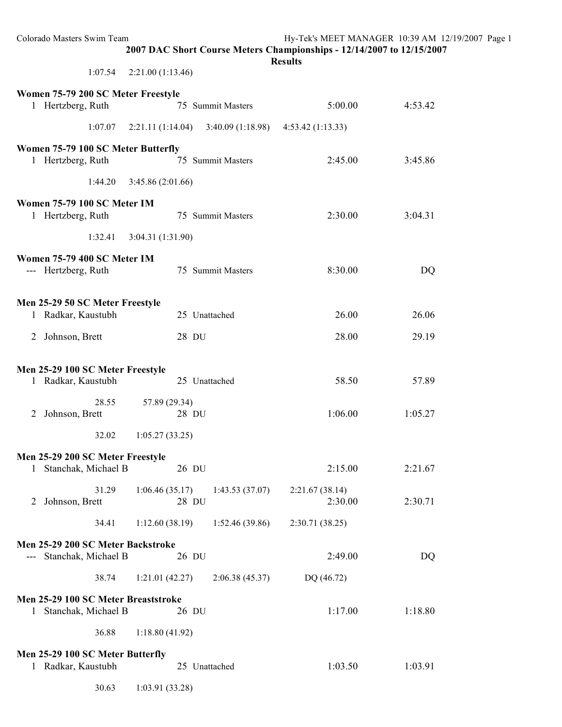| Colorado Masters Swim Team                                   | 2007 DAC Short Course Meters Championships - 12/14/2007 to 12/15/2007 | <b>Results</b>            | Hy-Tek's MEET MANAGER 10:39 AM 12/19/2007 Page 1 |  |
|--------------------------------------------------------------|-----------------------------------------------------------------------|---------------------------|--------------------------------------------------|--|
| 1:07.54                                                      | 2:21.00(1:13.46)                                                      |                           |                                                  |  |
| Women 75-79 200 SC Meter Freestyle<br>1 Hertzberg, Ruth      | 75 Summit Masters                                                     | 5:00.00                   | 4:53.42                                          |  |
| 1:07.07                                                      | $2:21.11(1:14.04)$ $3:40.09(1:18.98)$                                 | 4:53.42(1:13.33)          |                                                  |  |
| Women 75-79 100 SC Meter Butterfly<br>1 Hertzberg, Ruth      | 75 Summit Masters                                                     | 2:45.00                   | 3:45.86                                          |  |
| 1:44.20                                                      | 3:45.86(2:01.66)                                                      |                           |                                                  |  |
| Women 75-79 100 SC Meter IM<br>1 Hertzberg, Ruth             | 75 Summit Masters                                                     | 2:30.00                   | 3:04.31                                          |  |
| 1:32.41                                                      | 3:04.31 (1:31.90)                                                     |                           |                                                  |  |
| Women 75-79 400 SC Meter IM<br>--- Hertzberg, Ruth           | 75 Summit Masters                                                     | 8:30.00                   | <b>DQ</b>                                        |  |
| Men 25-29 50 SC Meter Freestyle<br>1 Radkar, Kaustubh        | 25 Unattached                                                         | 26.00                     | 26.06                                            |  |
| 2 Johnson, Brett                                             | 28 DU                                                                 | 28.00                     | 29.19                                            |  |
| Men 25-29 100 SC Meter Freestyle<br>1 Radkar, Kaustubh       | 25 Unattached                                                         | 58.50                     | 57.89                                            |  |
| 28.55<br>2 Johnson, Brett                                    | 57.89 (29.34)<br>28 DU                                                | 1:06.00                   | 1:05.27                                          |  |
| 32.02                                                        | 1:05.27(33.25)                                                        |                           |                                                  |  |
| Men 25-29 200 SC Meter Freestyle<br>1 Stanchak, Michael B    | 26 DU                                                                 | 2:15.00                   | 2:21.67                                          |  |
| 31.29<br>Johnson, Brett<br>2                                 | 1:06.46(35.17)<br>1:43.53(37.07)<br>28 DU                             | 2:21.67(38.14)<br>2:30.00 | 2:30.71                                          |  |
| 34.41                                                        | 1:12.60(38.19)<br>1:52.46(39.86)                                      | 2:30.71(38.25)            |                                                  |  |
| Men 25-29 200 SC Meter Backstroke<br>Stanchak, Michael B     | 26 DU                                                                 | 2:49.00                   | DQ                                               |  |
| 38.74                                                        | 1:21.01(42.27)<br>2:06.38(45.37)                                      | DQ (46.72)                |                                                  |  |
| Men 25-29 100 SC Meter Breaststroke<br>1 Stanchak, Michael B | 26 DU                                                                 | 1:17.00                   | 1:18.80                                          |  |
| 36.88                                                        | 1:18.80(41.92)                                                        |                           |                                                  |  |
| Men 25-29 100 SC Meter Butterfly<br>1 Radkar, Kaustubh       | 25 Unattached                                                         | 1:03.50                   | 1:03.91                                          |  |
| 30.63                                                        | 1:03.91(33.28)                                                        |                           |                                                  |  |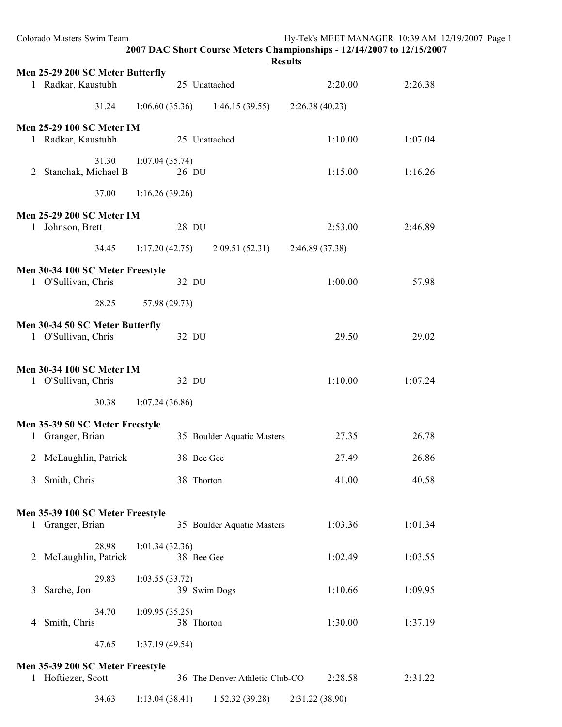| Colorado Masters Swim Team                              |                | 2007 DAC Short Course Meters Championships - 12/14/2007 to 12/15/2007<br><b>Results</b> | Hy-Tek's MEET MANAGER 10:39 AM 12/19/2007 Page 1 |         |  |
|---------------------------------------------------------|----------------|-----------------------------------------------------------------------------------------|--------------------------------------------------|---------|--|
| Men 25-29 200 SC Meter Butterfly                        |                |                                                                                         |                                                  |         |  |
| 1 Radkar, Kaustubh                                      |                | 25 Unattached                                                                           | 2:20.00                                          | 2:26.38 |  |
| 31.24                                                   | 1:06.60(35.36) | 1:46.15(39.55)                                                                          | 2:26.38(40.23)                                   |         |  |
| <b>Men 25-29 100 SC Meter IM</b><br>1 Radkar, Kaustubh  |                | 25 Unattached                                                                           | 1:10.00                                          | 1:07.04 |  |
| 31.30                                                   | 1:07.04(35.74) |                                                                                         |                                                  |         |  |
| Stanchak, Michael B<br>2                                | 26 DU          |                                                                                         | 1:15.00                                          | 1:16.26 |  |
| 37.00                                                   | 1:16.26(39.26) |                                                                                         |                                                  |         |  |
| <b>Men 25-29 200 SC Meter IM</b>                        |                |                                                                                         |                                                  |         |  |
| 1 Johnson, Brett                                        | 28 DU          |                                                                                         | 2:53.00                                          | 2:46.89 |  |
| 34.45                                                   | 1:17.20(42.75) | 2:09.51(52.31)                                                                          | 2:46.89 (37.38)                                  |         |  |
| Men 30-34 100 SC Meter Freestyle                        |                |                                                                                         |                                                  |         |  |
| 1 O'Sullivan, Chris                                     | 32 DU          |                                                                                         | 1:00.00                                          | 57.98   |  |
| 28.25                                                   | 57.98 (29.73)  |                                                                                         |                                                  |         |  |
|                                                         |                |                                                                                         |                                                  |         |  |
| Men 30-34 50 SC Meter Butterfly<br>1 O'Sullivan, Chris  | 32 DU          |                                                                                         | 29.50                                            | 29.02   |  |
| <b>Men 30-34 100 SC Meter IM</b><br>1 O'Sullivan, Chris | 32 DU          |                                                                                         | 1:10.00                                          | 1:07.24 |  |
| 30.38                                                   | 1:07.24(36.86) |                                                                                         |                                                  |         |  |
|                                                         |                |                                                                                         |                                                  |         |  |
| Men 35-39 50 SC Meter Freestyle<br>1 Granger, Brian     |                | 35 Boulder Aquatic Masters                                                              | 27.35                                            | 26.78   |  |
| McLaughlin, Patrick<br>2                                |                | 38 Bee Gee                                                                              | 27.49                                            | 26.86   |  |
| Smith, Chris<br>3                                       |                | 38 Thorton                                                                              | 41.00                                            | 40.58   |  |
| Men 35-39 100 SC Meter Freestyle<br>1 Granger, Brian    |                | 35 Boulder Aquatic Masters                                                              | 1:03.36                                          | 1:01.34 |  |
| 28.98                                                   | 1:01.34(32.36) |                                                                                         |                                                  |         |  |
| McLaughlin, Patrick<br>2                                |                | 38 Bee Gee                                                                              | 1:02.49                                          | 1:03.55 |  |
| 29.83<br>Sarche, Jon<br>3                               | 1:03.55(33.72) | 39 Swim Dogs                                                                            | 1:10.66                                          | 1:09.95 |  |
| 34.70                                                   | 1:09.95(35.25) |                                                                                         |                                                  |         |  |
| Smith, Chris<br>4                                       |                | 38 Thorton                                                                              | 1:30.00                                          | 1:37.19 |  |
| 47.65                                                   | 1:37.19(49.54) |                                                                                         |                                                  |         |  |
| Men 35-39 200 SC Meter Freestyle<br>1 Hoftiezer, Scott  |                | 36 The Denver Athletic Club-CO                                                          | 2:28.58                                          | 2:31.22 |  |
| 34.63                                                   | 1:13.04(38.41) | 1:52.32(39.28)                                                                          | 2:31.22 (38.90)                                  |         |  |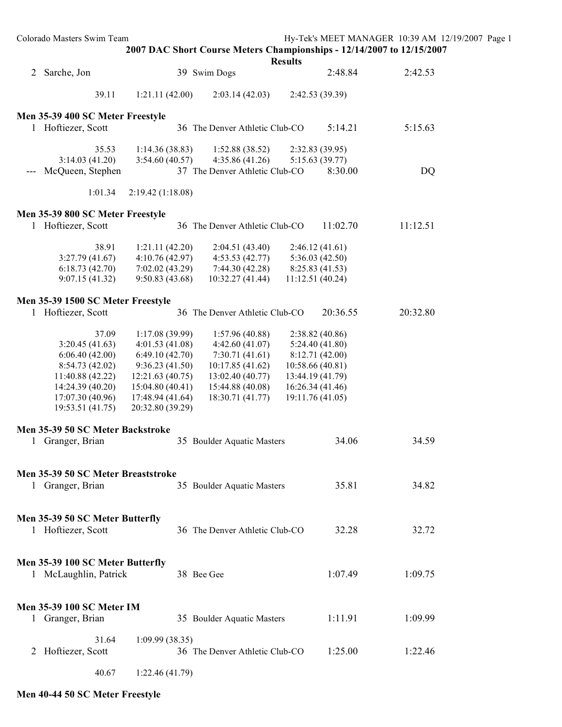Colorado Masters Swim Team Hy-Tek's MEET MANAGER 10:39 AM 12/19/2007 Page 1 **2007 DAC Short Course Meters Championships - 12/14/2007 to 12/15/2007 Results** 2 Sarche, Jon 39 Swim Dogs 2:48.84 2:42.53 39.11 1:21.11 (42.00) 2:03.14 (42.03) 2:42.53 (39.39) **Men 35-39 400 SC Meter Freestyle** 1 Hoftiezer, Scott 36 The Denver Athletic Club-CO 5:14.21 5:15.63 35.53 1:14.36 (38.83) 1:52.88 (38.52) 2:32.83 (39.95) 3:14.03 (41.20) 3:54.60 (40.57) 4:35.86 (41.26) 5:15.63 (39.77) --- McQueen, Stephen 37 The Denver Athletic Club-CO 8:30.00 DQ 1:01.34 2:19.42 (1:18.08) **Men 35-39 800 SC Meter Freestyle** 1 Hoftiezer, Scott 36 The Denver Athletic Club-CO 11:02.70 11:12.51 38.91 1:21.11 (42.20) 2:04.51 (43.40) 2:46.12 (41.61) 3:27.79 (41.67) 4:10.76 (42.97) 4:53.53 (42.77) 5:36.03 (42.50) 6:18.73 (42.70) 7:02.02 (43.29) 7:44.30 (42.28) 8:25.83 (41.53) 9:07.15 (41.32) 9:50.83 (43.68) 10:32.27 (41.44) 11:12.51 (40.24) **Men 35-39 1500 SC Meter Freestyle** 1 Hoftiezer, Scott 36 The Denver Athletic Club-CO 20:36.55 20:32.80 37.09 1:17.08 (39.99) 1:57.96 (40.88) 2:38.82 (40.86) 3:20.45 (41.63) 4:01.53 (41.08) 4:42.60 (41.07) 5:24.40 (41.80) 6:06.40 (42.00) 6:49.10 (42.70) 7:30.71 (41.61) 8:12.71 (42.00) 8:54.73 (42.02) 9:36.23 (41.50) 10:17.85 (41.62) 10:58.66 (40.81) 11:40.88 (42.22) 12:21.63 (40.75) 13:02.40 (40.77) 13:44.19 (41.79) 14:24.39 (40.20) 15:04.80 (40.41) 15:44.88 (40.08) 16:26.34 (41.46) 17:07.30 (40.96) 17:48.94 (41.64) 18:30.71 (41.77) 19:11.76 (41.05) 19:53.51 (41.75) 20:32.80 (39.29) **Men 35-39 50 SC Meter Backstroke** 1 Granger, Brian 35 Boulder Aquatic Masters 34.06 34.59 **Men 35-39 50 SC Meter Breaststroke** 1 Granger, Brian 35 Boulder Aquatic Masters 35.81 34.82 **Men 35-39 50 SC Meter Butterfly** 1 Hoftiezer, Scott 36 The Denver Athletic Club-CO 32.28 32.72 **Men 35-39 100 SC Meter Butterfly** 1 McLaughlin, Patrick 38 Bee Gee 1:07.49 1:09.75 **Men 35-39 100 SC Meter IM** 1 Granger, Brian 35 Boulder Aquatic Masters 1:11.91 1:09.99

2 Hoftiezer, Scott 36 The Denver Athletic Club-CO 1:25.00 1:22.46

40.67 1:22.46 (41.79)

31.64 1:09.99 (38.35)

**Men 40-44 50 SC Meter Freestyle**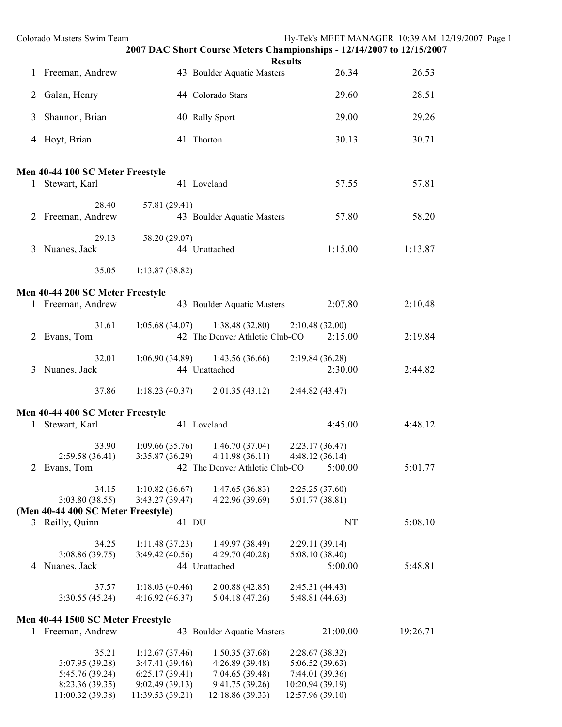|   | Colorado Masters Swim Team                                     |                                                                       | 2007 DAC Short Course Meters Championships - 12/14/2007 to 12/15/2007 | <b>Results</b>                                                           | Hy-Tek's MEET MANAGER 10:39 AM 12/19/2007 Page 1 |  |
|---|----------------------------------------------------------------|-----------------------------------------------------------------------|-----------------------------------------------------------------------|--------------------------------------------------------------------------|--------------------------------------------------|--|
|   | 1 Freeman, Andrew                                              |                                                                       | 43 Boulder Aquatic Masters                                            | 26.34                                                                    | 26.53                                            |  |
|   | 2 Galan, Henry                                                 |                                                                       | 44 Colorado Stars                                                     | 29.60                                                                    | 28.51                                            |  |
| 3 | Shannon, Brian                                                 |                                                                       | 40 Rally Sport                                                        | 29.00                                                                    | 29.26                                            |  |
|   | 4 Hoyt, Brian                                                  |                                                                       | 41 Thorton                                                            | 30.13                                                                    | 30.71                                            |  |
|   | Men 40-44 100 SC Meter Freestyle                               |                                                                       |                                                                       |                                                                          |                                                  |  |
|   | 1 Stewart, Karl                                                |                                                                       | 41 Loveland                                                           | 57.55                                                                    | 57.81                                            |  |
|   | 28.40<br>2 Freeman, Andrew                                     | 57.81 (29.41)                                                         | 43 Boulder Aquatic Masters                                            | 57.80                                                                    | 58.20                                            |  |
|   | 29.13<br>3 Nuanes, Jack                                        | 58.20 (29.07)                                                         | 44 Unattached                                                         | 1:15.00                                                                  | 1:13.87                                          |  |
|   | 35.05                                                          | 1:13.87(38.82)                                                        |                                                                       |                                                                          |                                                  |  |
|   | Men 40-44 200 SC Meter Freestyle                               |                                                                       |                                                                       |                                                                          |                                                  |  |
|   | 1 Freeman, Andrew                                              |                                                                       | 43 Boulder Aquatic Masters                                            | 2:07.80                                                                  | 2:10.48                                          |  |
|   | 31.61<br>2 Evans, Tom                                          | 1:05.68(34.07)                                                        | 1:38.48(32.80)<br>42 The Denver Athletic Club-CO                      | 2:10.48(32.00)<br>2:15.00                                                | 2:19.84                                          |  |
|   | 32.01<br>3 Nuanes, Jack                                        | 1:06.90(34.89)                                                        | 1:43.56(36.66)<br>44 Unattached                                       | 2:19.84(36.28)<br>2:30.00                                                | 2:44.82                                          |  |
|   | 37.86                                                          | 1:18.23(40.37)                                                        | 2:01.35(43.12)                                                        | 2:44.82(43.47)                                                           |                                                  |  |
|   | Men 40-44 400 SC Meter Freestyle                               |                                                                       |                                                                       |                                                                          |                                                  |  |
|   | 1 Stewart, Karl                                                |                                                                       | 41 Loveland                                                           | 4:45.00                                                                  | 4:48.12                                          |  |
|   | 33.90<br>2:59.58(36.41)                                        | 3:35.87(36.29)                                                        | $1:09.66(35.76)$ $1:46.70(37.04)$<br>4:11.98(36.11)                   | 2:23.17(36.47)<br>4:48.12(36.14)                                         |                                                  |  |
|   | 2 Evans, Tom                                                   |                                                                       | 42 The Denver Athletic Club-CO                                        | 5:00.00                                                                  | 5:01.77                                          |  |
|   | 34.15<br>3:03.80(38.55)<br>(Men 40-44 400 SC Meter Freestyle)  | 1:10.82(36.67)<br>3:43.27(39.47)                                      | 1:47.65(36.83)<br>4:22.96 (39.69)                                     | 2:25.25(37.60)<br>5:01.77(38.81)                                         |                                                  |  |
|   | 3 Reilly, Quinn                                                | 41 DU                                                                 |                                                                       | NT                                                                       | 5:08.10                                          |  |
|   | 34.25<br>3:08.86(39.75)<br>4 Nuanes, Jack                      | 1:11.48(37.23)<br>3:49.42(40.56)                                      | 1:49.97(38.49)<br>4:29.70(40.28)<br>44 Unattached                     | 2:29.11(39.14)<br>5:08.10(38.40)<br>5:00.00                              | 5:48.81                                          |  |
|   | 37.57<br>3:30.55 (45.24)                                       | 1:18.03(40.46)<br>4:16.92(46.37)                                      | 2:00.88(42.85)<br>5:04.18(47.26)                                      | 2:45.31(44.43)<br>5:48.81 (44.63)                                        |                                                  |  |
|   | Men 40-44 1500 SC Meter Freestyle                              |                                                                       |                                                                       |                                                                          |                                                  |  |
|   | 1 Freeman, Andrew                                              |                                                                       | 43 Boulder Aquatic Masters                                            | 21:00.00                                                                 | 19:26.71                                         |  |
|   | 35.21<br>3:07.95 (39.28)<br>5:45.76 (39.24)<br>8:23.36 (39.35) | 1:12.67(37.46)<br>3:47.41 (39.46)<br>6:25.17(39.41)<br>9:02.49(39.13) | 1:50.35(37.68)<br>4:26.89(39.48)<br>7:04.65 (39.48)<br>9:41.75(39.26) | 2:28.67(38.32)<br>5:06.52 (39.63)<br>7:44.01 (39.36)<br>10:20.94 (39.19) |                                                  |  |
|   | 11:00.32 (39.38)                                               | 11:39.53 (39.21)                                                      | 12:18.86 (39.33)                                                      | 12:57.96 (39.10)                                                         |                                                  |  |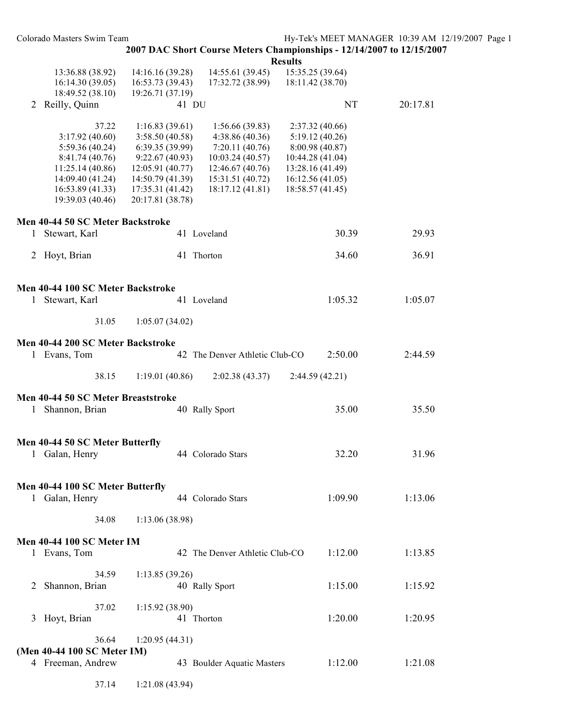| Colorado Masters Swim Team                                                                                                                 |                                                                                                                                                      |                                                                                                                                 | 2007 DAC Short Course Meters Championships - 12/14/2007 to 12/15/2007                                                               | Hy-Tek's MEET MANAGER 10:39 AM 12/19/2007 Page 1 |  |
|--------------------------------------------------------------------------------------------------------------------------------------------|------------------------------------------------------------------------------------------------------------------------------------------------------|---------------------------------------------------------------------------------------------------------------------------------|-------------------------------------------------------------------------------------------------------------------------------------|--------------------------------------------------|--|
|                                                                                                                                            |                                                                                                                                                      |                                                                                                                                 | <b>Results</b>                                                                                                                      |                                                  |  |
| 13:36.88 (38.92)<br>16:14.30(39.05)<br>18:49.52 (38.10)                                                                                    | 14:16.16 (39.28)<br>16:53.73(39.43)<br>19:26.71 (37.19)                                                                                              | 14:55.61 (39.45)<br>17:32.72 (38.99)                                                                                            | 15:35.25 (39.64)<br>18:11.42 (38.70)                                                                                                |                                                  |  |
| 2 Reilly, Quinn                                                                                                                            | 41 DU                                                                                                                                                |                                                                                                                                 | NT                                                                                                                                  | 20:17.81                                         |  |
| 37.22<br>3:17.92(40.60)<br>5:59.36 (40.24)<br>8:41.74(40.76)<br>11:25.14(40.86)<br>14:09.40 (41.24)<br>16:53.89(41.33)<br>19:39.03 (40.46) | 1:16.83(39.61)<br>3:58.50 (40.58)<br>6:39.35(39.99)<br>9:22.67(40.93)<br>12:05.91 (40.77)<br>14:50.79(41.39)<br>17:35.31 (41.42)<br>20:17.81 (38.78) | 1:56.66(39.83)<br>4:38.86(40.36)<br>7:20.11(40.76)<br>10:03.24(40.57)<br>12:46.67(40.76)<br>15:31.51 (40.72)<br>18:17.12(41.81) | 2:37.32 (40.66)<br>5:19.12(40.26)<br>8:00.98 (40.87)<br>10:44.28 (41.04)<br>13:28.16 (41.49)<br>16:12.56(41.05)<br>18:58.57 (41.45) |                                                  |  |
| Men 40-44 50 SC Meter Backstroke                                                                                                           |                                                                                                                                                      |                                                                                                                                 |                                                                                                                                     |                                                  |  |
| 1 Stewart, Karl                                                                                                                            | 41 Loveland                                                                                                                                          |                                                                                                                                 | 30.39                                                                                                                               | 29.93                                            |  |
| 2 Hoyt, Brian                                                                                                                              | 41 Thorton                                                                                                                                           |                                                                                                                                 | 34.60                                                                                                                               | 36.91                                            |  |
| Men 40-44 100 SC Meter Backstroke<br>1 Stewart, Karl                                                                                       | 41 Loveland                                                                                                                                          |                                                                                                                                 | 1:05.32                                                                                                                             | 1:05.07                                          |  |
| 31.05                                                                                                                                      | 1:05.07(34.02)                                                                                                                                       |                                                                                                                                 |                                                                                                                                     |                                                  |  |
| Men 40-44 200 SC Meter Backstroke                                                                                                          |                                                                                                                                                      |                                                                                                                                 |                                                                                                                                     |                                                  |  |
| 1 Evans, Tom                                                                                                                               |                                                                                                                                                      | 42 The Denver Athletic Club-CO                                                                                                  | 2:50.00                                                                                                                             | 2:44.59                                          |  |
| 38.15                                                                                                                                      | 1:19.01(40.86)                                                                                                                                       | 2:02.38(43.37)                                                                                                                  | 2:44.59(42.21)                                                                                                                      |                                                  |  |
| Men 40-44 50 SC Meter Breaststroke<br>1 Shannon, Brian                                                                                     | 40 Rally Sport                                                                                                                                       |                                                                                                                                 | 35.00                                                                                                                               | 35.50                                            |  |
| Men 40-44 50 SC Meter Butterfly<br>1 Galan, Henry                                                                                          |                                                                                                                                                      | 44 Colorado Stars                                                                                                               | 32.20                                                                                                                               | 31.96                                            |  |
| Men 40-44 100 SC Meter Butterfly<br>1 Galan, Henry                                                                                         |                                                                                                                                                      | 44 Colorado Stars                                                                                                               | 1:09.90                                                                                                                             | 1:13.06                                          |  |
| 34.08                                                                                                                                      | 1:13.06(38.98)                                                                                                                                       |                                                                                                                                 |                                                                                                                                     |                                                  |  |
| Men 40-44 100 SC Meter IM<br>1 Evans, Tom                                                                                                  |                                                                                                                                                      | 42 The Denver Athletic Club-CO                                                                                                  | 1:12.00                                                                                                                             | 1:13.85                                          |  |
| 34.59<br>2 Shannon, Brian                                                                                                                  | 1:13.85(39.26)<br>40 Rally Sport                                                                                                                     |                                                                                                                                 | 1:15.00                                                                                                                             | 1:15.92                                          |  |
| 37.02<br>3 Hoyt, Brian                                                                                                                     | 1:15.92(38.90)<br>41 Thorton                                                                                                                         |                                                                                                                                 | 1:20.00                                                                                                                             | 1:20.95                                          |  |
| 36.64<br>(Men 40-44 100 SC Meter IM)<br>4 Freeman, Andrew                                                                                  | 1:20.95(44.31)                                                                                                                                       | 43 Boulder Aquatic Masters                                                                                                      | 1:12.00                                                                                                                             | 1:21.08                                          |  |
| 37.14                                                                                                                                      | 1:21.08(43.94)                                                                                                                                       |                                                                                                                                 |                                                                                                                                     |                                                  |  |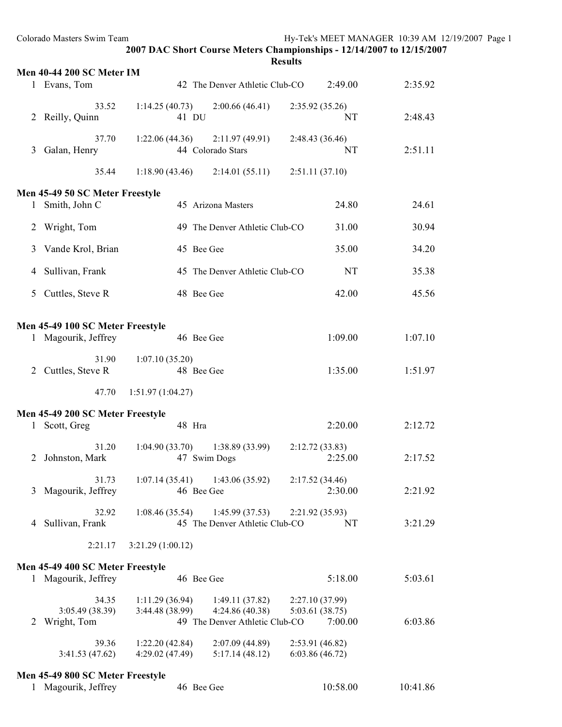|              | Colorado Masters Swim Team                              |                                   | 2007 DAC Short Course Meters Championships - 12/14/2007 to 12/15/2007 |                                    | Hy-Tek's MEET MANAGER 10:39 AM 12/19/2007 Page 1 |  |
|--------------|---------------------------------------------------------|-----------------------------------|-----------------------------------------------------------------------|------------------------------------|--------------------------------------------------|--|
|              |                                                         |                                   |                                                                       | <b>Results</b>                     |                                                  |  |
|              | <b>Men 40-44 200 SC Meter IM</b>                        |                                   |                                                                       |                                    |                                                  |  |
|              | 1 Evans, Tom                                            |                                   | 42 The Denver Athletic Club-CO                                        | 2:49.00                            | 2:35.92                                          |  |
|              | 33.52<br>2 Reilly, Quinn                                | 1:14.25(40.73)<br>41 DU           | 2:00.66(46.41)                                                        | 2:35.92(35.26)<br>NT               | 2:48.43                                          |  |
| 3            | 37.70<br>Galan, Henry                                   | 1:22.06(44.36)                    | 2:11.97(49.91)<br>44 Colorado Stars                                   | 2:48.43 (36.46)<br>NT              | 2:51.11                                          |  |
|              | 35.44                                                   | 1:18.90(43.46)                    | 2:14.01(55.11)                                                        | 2:51.11(37.10)                     |                                                  |  |
|              | Men 45-49 50 SC Meter Freestyle                         |                                   |                                                                       |                                    |                                                  |  |
| $\mathbf{I}$ | Smith, John C                                           |                                   | 45 Arizona Masters                                                    | 24.80                              | 24.61                                            |  |
| 2            | Wright, Tom                                             |                                   | 49 The Denver Athletic Club-CO                                        | 31.00                              | 30.94                                            |  |
| 3            | Vande Krol, Brian                                       |                                   | 45 Bee Gee                                                            | 35.00                              | 34.20                                            |  |
| 4            | Sullivan, Frank                                         |                                   | 45 The Denver Athletic Club-CO                                        | $\rm{NT}$                          | 35.38                                            |  |
| 5            | Cuttles, Steve R                                        |                                   | 48 Bee Gee                                                            | 42.00                              | 45.56                                            |  |
|              |                                                         |                                   |                                                                       |                                    |                                                  |  |
|              | Men 45-49 100 SC Meter Freestyle<br>1 Magourik, Jeffrey |                                   | 46 Bee Gee                                                            | 1:09.00                            | 1:07.10                                          |  |
|              | 31.90                                                   |                                   |                                                                       |                                    |                                                  |  |
|              | 2 Cuttles, Steve R                                      | 1:07.10(35.20)                    | 48 Bee Gee                                                            | 1:35.00                            | 1:51.97                                          |  |
|              | 47.70                                                   | 1:51.97(1:04.27)                  |                                                                       |                                    |                                                  |  |
|              | Men 45-49 200 SC Meter Freestyle                        |                                   |                                                                       |                                    |                                                  |  |
| $\mathbf{1}$ | Scott, Greg                                             |                                   | 48 Hra                                                                | 2:20.00                            | 2:12.72                                          |  |
| 2            | 31.20<br>Johnston, Mark                                 | 1:04.90(33.70)                    | 1:38.89 (33.99)<br>47 Swim Dogs                                       | 2:12.72(33.83)<br>2:25.00          | 2:17.52                                          |  |
|              | 31.73<br>3 Magourik, Jeffrey                            | 1:07.14(35.41)                    | 1:43.06(35.92)<br>46 Bee Gee                                          | 2:17.52(34.46)<br>2:30.00          | 2:21.92                                          |  |
| 4            | 32.92<br>Sullivan, Frank                                | 1:08.46(35.54)                    | 1:45.99(37.53)<br>45 The Denver Athletic Club-CO                      | 2:21.92(35.93)<br>NT               | 3:21.29                                          |  |
|              | 2:21.17                                                 | 3:21.29(1:00.12)                  |                                                                       |                                    |                                                  |  |
|              | Men 45-49 400 SC Meter Freestyle                        |                                   |                                                                       |                                    |                                                  |  |
|              | 1 Magourik, Jeffrey                                     |                                   | 46 Bee Gee                                                            | 5:18.00                            | 5:03.61                                          |  |
|              | 34.35                                                   | 1:11.29(36.94)                    | 1:49.11(37.82)                                                        | 2:27.10(37.99)                     |                                                  |  |
| 2            | 3:05.49(38.39)<br>Wright, Tom                           | 3:44.48 (38.99)                   | 4:24.86(40.38)<br>49 The Denver Athletic Club-CO                      | 5:03.61(38.75)<br>7:00.00          | 6:03.86                                          |  |
|              |                                                         |                                   |                                                                       |                                    |                                                  |  |
|              | 39.36<br>3:41.53(47.62)                                 | 1:22.20(42.84)<br>4:29.02 (47.49) | 2:07.09(44.89)<br>5:17.14(48.12)                                      | 2:53.91 (46.82)<br>6:03.86 (46.72) |                                                  |  |
|              | Men 45-49 800 SC Meter Freestyle                        |                                   |                                                                       |                                    |                                                  |  |
|              | 1 Magourik, Jeffrey                                     |                                   | 46 Bee Gee                                                            | 10:58.00                           | 10:41.86                                         |  |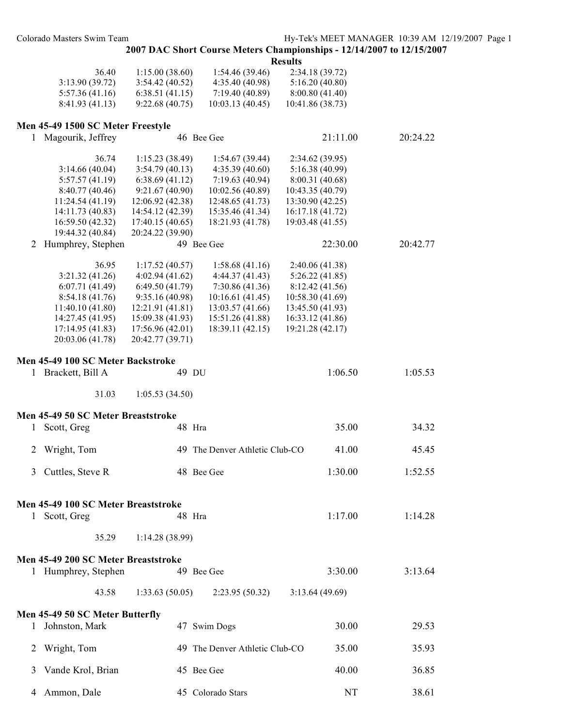## **2007 DAC Short Course Meters Championships - 12/14/2007 to 12/15/2007**

**Results**

| 36.40           | 1:15.00(38.60)  | 1:54.46 (39.46)  | 2:34.18 (39.72)  |
|-----------------|-----------------|------------------|------------------|
| 3:13.90 (39.72) | 3:54.42 (40.52) | 4:35.40 (40.98)  | 5:16.20(40.80)   |
| 5:57.36(41.16)  | 6:38.51(41.15)  | 7:19.40 (40.89)  | 8:00.80 (41.40)  |
| 8:41.93 (41.13) | 9:22.68(40.75)  | 10:03.13 (40.45) | 10:41.86 (38.73) |

### **Men 45-49 1500 SC Meter Freestyle**

| 1            | Magourik, Jeffrey                   |                  | 46 Bee Gee                     | 21:11.00         | 20:24.22 |
|--------------|-------------------------------------|------------------|--------------------------------|------------------|----------|
|              | 36.74                               | 1:15.23(38.49)   | 1:54.67(39.44)                 | 2:34.62 (39.95)  |          |
|              | 3:14.66(40.04)                      | 3:54.79(40.13)   | 4:35.39(40.60)                 | 5:16.38 (40.99)  |          |
|              | 5:57.57(41.19)                      | 6:38.69(41.12)   | 7:19.63(40.94)                 | 8:00.31 (40.68)  |          |
|              | 8:40.77 (40.46)                     | 9:21.67(40.90)   | 10:02.56 (40.89)               | 10:43.35 (40.79) |          |
|              | 11:24.54(41.19)                     | 12:06.92(42.38)  | 12:48.65 (41.73)               | 13:30.90 (42.25) |          |
|              | 14:11.73 (40.83)                    | 14:54.12 (42.39) | 15:35.46 (41.34)               | 16:17.18 (41.72) |          |
|              | 16:59.50 (42.32)                    | 17:40.15(40.65)  | 18:21.93 (41.78)               | 19:03.48 (41.55) |          |
|              | 19:44.32 (40.84)                    | 20:24.22 (39.90) |                                |                  |          |
|              | Humphrey, Stephen                   |                  | 49 Bee Gee                     | 22:30.00         | 20:42.77 |
| 2            |                                     |                  |                                |                  |          |
|              | 36.95                               | 1:17.52(40.57)   | 1:58.68(41.16)                 | 2:40.06 (41.38)  |          |
|              | 3:21.32(41.26)                      | 4:02.94(41.62)   | 4:44.37(41.43)                 | 5:26.22(41.85)   |          |
|              | 6:07.71(41.49)                      | 6:49.50(41.79)   | 7:30.86(41.36)                 | 8:12.42 (41.56)  |          |
|              | 8:54.18 (41.76)                     | 9:35.16 (40.98)  | 10:16.61(41.45)                | 10:58.30 (41.69) |          |
|              | 11:40.10 (41.80)                    | 12:21.91 (41.81) | 13:03.57 (41.66)               | 13:45.50 (41.93) |          |
|              | 14:27.45 (41.95)                    | 15:09.38 (41.93) | 15:51.26 (41.88)               | 16:33.12 (41.86) |          |
|              | 17:14.95 (41.83)                    | 17:56.96(42.01)  | 18:39.11 (42.15)               | 19:21.28 (42.17) |          |
|              | 20:03.06 (41.78)                    | 20:42.77 (39.71) |                                |                  |          |
|              |                                     |                  |                                |                  |          |
|              | Men 45-49 100 SC Meter Backstroke   |                  |                                |                  |          |
|              | 1 Brackett, Bill A                  | 49 DU            |                                | 1:06.50          | 1:05.53  |
|              | 31.03                               | 1:05.53(34.50)   |                                |                  |          |
|              |                                     |                  |                                |                  |          |
|              | Men 45-49 50 SC Meter Breaststroke  |                  |                                |                  |          |
| 1            | Scott, Greg                         | 48 Hra           |                                | 35.00            | 34.32    |
| 2            | Wright, Tom                         |                  | 49 The Denver Athletic Club-CO | 41.00            | 45.45    |
|              |                                     |                  |                                |                  |          |
| 3            | Cuttles, Steve R                    |                  | 48 Bee Gee                     | 1:30.00          | 1:52.55  |
|              |                                     |                  |                                |                  |          |
|              | Men 45-49 100 SC Meter Breaststroke |                  |                                |                  |          |
| $\mathbf{1}$ | Scott, Greg                         | 48 Hra           |                                | 1:17.00          | 1:14.28  |
|              | 35.29                               | 1:14.28(38.99)   |                                |                  |          |
|              |                                     |                  |                                |                  |          |
|              | Men 45-49 200 SC Meter Breaststroke |                  |                                |                  |          |
|              | 1 Humphrey, Stephen                 |                  | 49 Bee Gee                     | 3:30.00          | 3:13.64  |
|              |                                     |                  |                                |                  |          |
|              | 43.58                               | 1:33.63(50.05)   | 2:23.95(50.32)                 | 3:13.64(49.69)   |          |
|              | Men 45-49 50 SC Meter Butterfly     |                  |                                |                  |          |
|              |                                     |                  |                                |                  |          |
| T.           | Johnston, Mark                      |                  | 47 Swim Dogs                   | 30.00            | 29.53    |
|              |                                     |                  |                                |                  |          |
| 2            | Wright, Tom                         |                  | 49 The Denver Athletic Club-CO | 35.00            | 35.93    |
|              |                                     |                  |                                |                  |          |
| 3            | Vande Krol, Brian                   |                  | 45 Bee Gee                     | 40.00            | 36.85    |
| 4            | Ammon, Dale                         |                  | 45 Colorado Stars              | NT               | 38.61    |
|              |                                     |                  |                                |                  |          |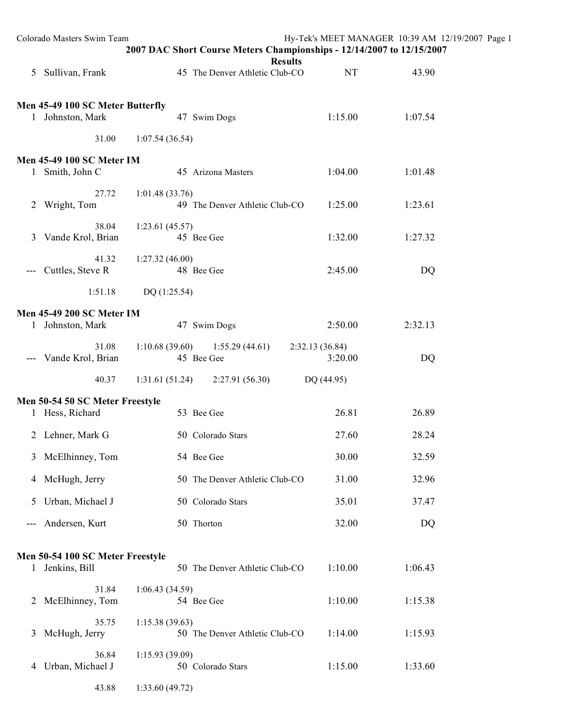|                     | Colorado Masters Swim Team                           |                                                  | Hy-Tek's MEET MANAGER 10:39 AM 12/19/2007 Page 1<br>2007 DAC Short Course Meters Championships - 12/14/2007 to 12/15/2007 |         |  |
|---------------------|------------------------------------------------------|--------------------------------------------------|---------------------------------------------------------------------------------------------------------------------------|---------|--|
|                     | 5 Sullivan, Frank                                    | 45 The Denver Athletic Club-CO                   | <b>Results</b><br><b>NT</b>                                                                                               | 43.90   |  |
|                     | Men 45-49 100 SC Meter Butterfly<br>1 Johnston, Mark | 47 Swim Dogs                                     | 1:15.00                                                                                                                   | 1:07.54 |  |
|                     | 31.00                                                | 1:07.54(36.54)                                   |                                                                                                                           |         |  |
|                     | <b>Men 45-49 100 SC Meter IM</b><br>1 Smith, John C  | 45 Arizona Masters                               | 1:04.00                                                                                                                   | 1:01.48 |  |
|                     | 27.72<br>2 Wright, Tom                               | 1:01.48(33.76)<br>49 The Denver Athletic Club-CO | 1:25.00                                                                                                                   | 1:23.61 |  |
|                     | 38.04<br>3 Vande Krol, Brian                         | 1:23.61(45.57)<br>45 Bee Gee                     | 1:32.00                                                                                                                   | 1:27.32 |  |
| $\qquad \qquad - -$ | 41.32<br>Cuttles, Steve R                            | 1:27.32(46.00)<br>48 Bee Gee                     | 2:45.00                                                                                                                   | DQ      |  |
|                     | 1:51.18                                              | DQ (1:25.54)                                     |                                                                                                                           |         |  |
|                     | <b>Men 45-49 200 SC Meter IM</b><br>1 Johnston, Mark | 47 Swim Dogs                                     | 2:50.00                                                                                                                   | 2:32.13 |  |
|                     | 31.08<br>--- Vande Krol, Brian                       | $1:10.68(39.60)$ $1:55.29(44.61)$<br>45 Bee Gee  | 2:32.13(36.84)<br>3:20.00                                                                                                 | DQ      |  |
|                     | 40.37                                                | 1:31.61(51.24)<br>2:27.91(56.30)                 | DQ (44.95)                                                                                                                |         |  |
|                     | Men 50-54 50 SC Meter Freestyle                      |                                                  |                                                                                                                           |         |  |
|                     | 1 Hess, Richard                                      | 53 Bee Gee                                       | 26.81                                                                                                                     | 26.89   |  |
|                     | 2 Lehner, Mark G                                     | 50 Colorado Stars                                | 27.60                                                                                                                     | 28.24   |  |
| 3                   | McElhinney, Tom                                      | 54 Bee Gee                                       | 30.00                                                                                                                     | 32.59   |  |
|                     | 4 McHugh, Jerry                                      | 50 The Denver Athletic Club-CO                   | 31.00                                                                                                                     | 32.96   |  |
| 5                   | Urban, Michael J                                     | 50 Colorado Stars                                | 35.01                                                                                                                     | 37.47   |  |
|                     | Andersen, Kurt                                       | 50 Thorton                                       | 32.00                                                                                                                     | DQ      |  |
|                     | Men 50-54 100 SC Meter Freestyle                     |                                                  |                                                                                                                           |         |  |
|                     | 1 Jenkins, Bill                                      | 50 The Denver Athletic Club-CO                   | 1:10.00                                                                                                                   | 1:06.43 |  |
|                     | 31.84<br>2 McElhinney, Tom                           | 1:06.43(34.59)<br>54 Bee Gee                     | 1:10.00                                                                                                                   | 1:15.38 |  |
| 3                   | 35.75<br>McHugh, Jerry                               | 1:15.38(39.63)<br>50 The Denver Athletic Club-CO | 1:14.00                                                                                                                   | 1:15.93 |  |
| 4                   | 36.84<br>Urban, Michael J                            | 1:15.93(39.09)<br>50 Colorado Stars              | 1:15.00                                                                                                                   | 1:33.60 |  |
|                     | 43.88                                                | 1:33.60(49.72)                                   |                                                                                                                           |         |  |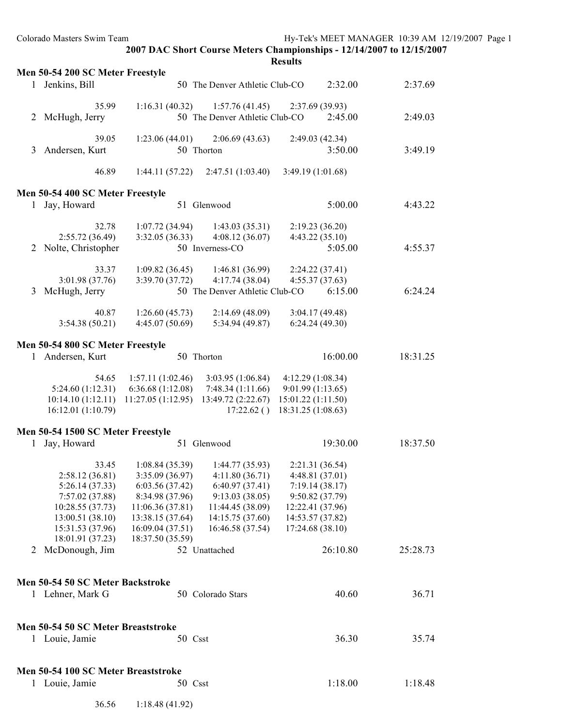| Colorado Masters Swim Team                        | 2007 DAC Short Course Meters Championships - 12/14/2007 to 12/15/2007       | Hy-Tek's MEET MANAGER 10:39 AM 12/19/2007 Page 1 |          |  |
|---------------------------------------------------|-----------------------------------------------------------------------------|--------------------------------------------------|----------|--|
|                                                   |                                                                             | <b>Results</b>                                   |          |  |
| Men 50-54 200 SC Meter Freestyle                  |                                                                             |                                                  |          |  |
| 1 Jenkins, Bill                                   | 50 The Denver Athletic Club-CO                                              | 2:32.00                                          | 2:37.69  |  |
| 35.99                                             | 1:16.31(40.32)<br>1:57.76(41.45)                                            | 2:37.69(39.93)                                   |          |  |
| 2 McHugh, Jerry                                   | 50 The Denver Athletic Club-CO                                              | 2:45.00                                          | 2:49.03  |  |
|                                                   |                                                                             |                                                  |          |  |
| 39.05                                             | 1:23.06(44.01)<br>2:06.69(43.63)<br>50 Thorton                              | 2:49.03 (42.34)                                  |          |  |
| 3 Andersen, Kurt                                  |                                                                             | 3:50.00                                          | 3:49.19  |  |
| 46.89                                             | 1:44.11(57.22)<br>2:47.51(1:03.40)                                          | 3:49.19 (1:01.68)                                |          |  |
|                                                   |                                                                             |                                                  |          |  |
| Men 50-54 400 SC Meter Freestyle<br>1 Jay, Howard | 51 Glenwood                                                                 | 5:00.00                                          | 4:43.22  |  |
|                                                   |                                                                             |                                                  |          |  |
| 32.78                                             | 1:07.72(34.94)<br>1:43.03(35.31)                                            | 2:19.23(36.20)                                   |          |  |
| 2:55.72(36.49)                                    | 3:32.05(36.33)<br>4:08.12(36.07)                                            | 4:43.22(35.10)                                   |          |  |
| Nolte, Christopher<br>2                           | 50 Inverness-CO                                                             | 5:05.00                                          | 4:55.37  |  |
| 33.37                                             | 1:09.82(36.45)<br>1:46.81(36.99)                                            | 2:24.22(37.41)                                   |          |  |
| 3:01.98(37.76)                                    | 3:39.70(37.72)<br>4:17.74(38.04)                                            | 4:55.37(37.63)                                   |          |  |
| McHugh, Jerry<br>3                                | 50 The Denver Athletic Club-CO                                              | 6:15.00                                          | 6:24.24  |  |
| 40.87                                             | 1:26.60(45.73)<br>2:14.69(48.09)                                            | 3:04.17(49.48)                                   |          |  |
| 3:54.38(50.21)                                    | 4:45.07(50.69)<br>5:34.94(49.87)                                            | 6:24.24(49.30)                                   |          |  |
|                                                   |                                                                             |                                                  |          |  |
| Men 50-54 800 SC Meter Freestyle                  |                                                                             |                                                  |          |  |
| 1 Andersen, Kurt                                  | 50 Thorton                                                                  | 16:00.00                                         | 18:31.25 |  |
| 54.65                                             | 1:57.11(1:02.46)<br>3:03.95(1:06.84)                                        | 4:12.29 (1:08.34)                                |          |  |
| 5:24.60 (1:12.31)                                 | 6:36.68(1:12.08)<br>7:48.34(1:11.66)                                        | 9:01.99 (1:13.65)                                |          |  |
| 10:14.10(1:12.11)<br>16:12.01 (1:10.79)           | $11:27.05(1:12.95)$ $13:49.72(2:22.67)$<br>17:22.62()                       | 15:01.22 (1:11.50)<br>18:31.25 (1:08.63)         |          |  |
|                                                   |                                                                             |                                                  |          |  |
| Men 50-54 1500 SC Meter Freestyle                 |                                                                             |                                                  |          |  |
| 1 Jay, Howard                                     | 51 Glenwood                                                                 | 19:30.00                                         | 18:37.50 |  |
| 33.45                                             | 1:08.84(35.39)<br>1:44.77(35.93)                                            | 2:21.31 (36.54)                                  |          |  |
| 2:58.12(36.81)                                    | 4:11.80(36.71)<br>3:35.09(36.97)                                            | 4:48.81(37.01)                                   |          |  |
| 5:26.14(37.33)                                    | 6:40.97(37.41)<br>6:03.56(37.42)                                            | 7:19.14(38.17)                                   |          |  |
| 7:57.02(37.88)                                    | 8:34.98 (37.96)<br>9:13.03(38.05)                                           | 9:50.82 (37.79)                                  |          |  |
| 10:28.55(37.73)<br>13:00.51(38.10)                | 11:06.36(37.81)<br>11:44.45 (38.09)<br>13:38.15 (37.64)<br>14:15.75 (37.60) | 12:22.41 (37.96)<br>14:53.57 (37.82)             |          |  |
| 15:31.53 (37.96)                                  | 16:09.04(37.51)<br>16:46.58 (37.54)                                         | 17:24.68 (38.10)                                 |          |  |
| 18:01.91 (37.23)                                  | 18:37.50 (35.59)                                                            |                                                  |          |  |
| 2 McDonough, Jim                                  | 52 Unattached                                                               | 26:10.80                                         | 25:28.73 |  |
|                                                   |                                                                             |                                                  |          |  |
| Men 50-54 50 SC Meter Backstroke                  |                                                                             |                                                  |          |  |
| 1 Lehner, Mark G                                  | 50 Colorado Stars                                                           | 40.60                                            | 36.71    |  |
|                                                   |                                                                             |                                                  |          |  |
| Men 50-54 50 SC Meter Breaststroke                |                                                                             |                                                  |          |  |
| 1 Louie, Jamie                                    | 50 Csst                                                                     | 36.30                                            | 35.74    |  |
|                                                   |                                                                             |                                                  |          |  |
|                                                   |                                                                             |                                                  |          |  |
| Men 50-54 100 SC Meter Breaststroke               |                                                                             |                                                  |          |  |
| 1 Louie, Jamie                                    | 50 Csst                                                                     | 1:18.00                                          | 1:18.48  |  |
| 36.56                                             | 1:18.48(41.92)                                                              |                                                  |          |  |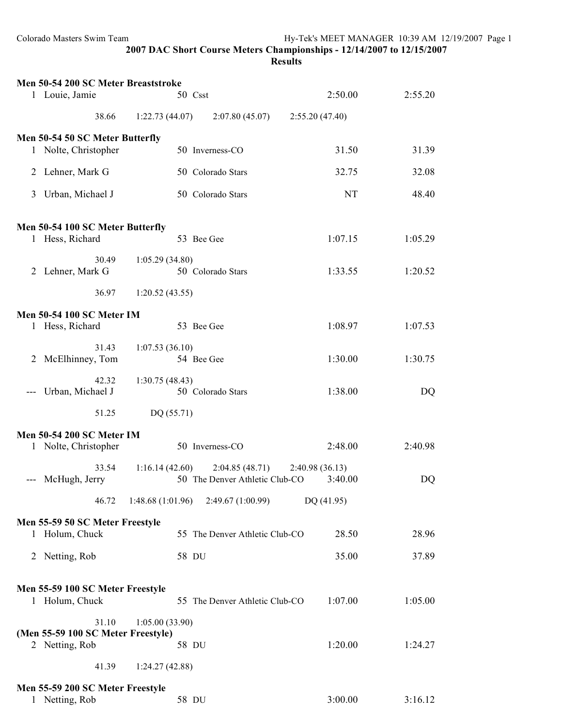**2007 DAC Short Course Meters Championships - 12/14/2007 to 12/15/2007 Results**

|   | Men 50-54 200 SC Meter Breaststroke                     |                  |                                                  |                           |         |
|---|---------------------------------------------------------|------------------|--------------------------------------------------|---------------------------|---------|
|   | 1 Louie, Jamie                                          |                  | 50 Csst                                          | 2:50.00                   | 2:55.20 |
|   | 38.66                                                   | 1:22.73(44.07)   | 2:07.80(45.07)                                   | 2:55.20(47.40)            |         |
|   | Men 50-54 50 SC Meter Butterfly<br>1 Nolte, Christopher |                  | 50 Inverness-CO                                  | 31.50                     | 31.39   |
|   | 2 Lehner, Mark G                                        |                  | 50 Colorado Stars                                | 32.75                     | 32.08   |
| 3 | Urban, Michael J                                        |                  | 50 Colorado Stars                                | NT                        | 48.40   |
|   | Men 50-54 100 SC Meter Butterfly                        |                  |                                                  |                           |         |
|   | 1 Hess, Richard                                         |                  | 53 Bee Gee                                       | 1:07.15                   | 1:05.29 |
|   | 30.49<br>2 Lehner, Mark G                               | 1:05.29(34.80)   | 50 Colorado Stars                                | 1:33.55                   | 1:20.52 |
|   | 36.97                                                   | 1:20.52(43.55)   |                                                  |                           |         |
|   | <b>Men 50-54 100 SC Meter IM</b>                        |                  |                                                  |                           |         |
|   | 1 Hess, Richard                                         |                  | 53 Bee Gee                                       | 1:08.97                   | 1:07.53 |
|   | 31.43<br>2 McElhinney, Tom                              | 1:07.53(36.10)   | 54 Bee Gee                                       | 1:30.00                   | 1:30.75 |
|   | 42.32<br>Urban, Michael J                               | 1:30.75(48.43)   | 50 Colorado Stars                                | 1:38.00                   | DQ      |
|   | 51.25                                                   | DQ (55.71)       |                                                  |                           |         |
|   | <b>Men 50-54 200 SC Meter IM</b>                        |                  |                                                  |                           |         |
|   | 1 Nolte, Christopher                                    |                  | 50 Inverness-CO                                  | 2:48.00                   | 2:40.98 |
|   | 33.54<br>--- McHugh, Jerry                              | 1:16.14(42.60)   | 2:04.85(48.71)<br>50 The Denver Athletic Club-CO | 2:40.98(36.13)<br>3:40.00 | DQ      |
|   | 46.72                                                   | 1:48.68(1:01.96) | 2:49.67(1:00.99)                                 | DQ (41.95)                |         |
|   | Men 55-59 50 SC Meter Freestyle                         |                  |                                                  |                           |         |
|   | 1 Holum, Chuck                                          |                  | 55 The Denver Athletic Club-CO                   | 28.50                     | 28.96   |
|   | 2 Netting, Rob                                          |                  | 58 DU                                            | 35.00                     | 37.89   |
|   | Men 55-59 100 SC Meter Freestyle<br>1 Holum, Chuck      |                  | 55 The Denver Athletic Club-CO                   | 1:07.00                   | 1:05.00 |
|   | 31.10                                                   | 1:05.00(33.90)   |                                                  |                           |         |
|   | (Men 55-59 100 SC Meter Freestyle)<br>2 Netting, Rob    |                  | 58 DU                                            | 1:20.00                   | 1:24.27 |
|   | 41.39                                                   | 1:24.27(42.88)   |                                                  |                           |         |
|   | Men 55-59 200 SC Meter Freestyle                        |                  |                                                  |                           |         |
| 1 | Netting, Rob                                            |                  | 58 DU                                            | 3:00.00                   | 3:16.12 |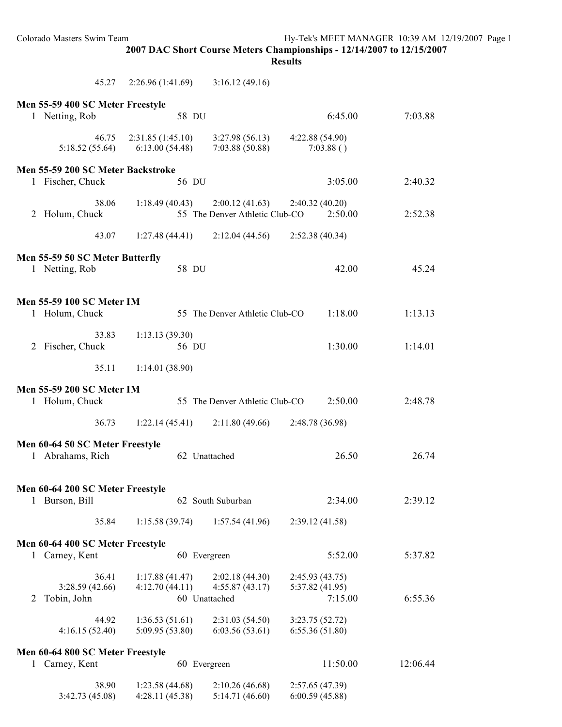**Results**

|   | 45.27                                              | 2:26.96(1:41.69)                   | 3:16.12(49.16)                    |                                    |          |
|---|----------------------------------------------------|------------------------------------|-----------------------------------|------------------------------------|----------|
|   | Men 55-59 400 SC Meter Freestyle                   |                                    |                                   |                                    |          |
|   | 1 Netting, Rob                                     | 58 DU                              |                                   | 6:45.00                            | 7:03.88  |
|   | 46.75<br>5:18.52 (55.64)                           | 2:31.85(1:45.10)<br>6:13.00(54.48) | 3:27.98(56.13)<br>7:03.88(50.88)  | 4:22.88 (54.90)<br>7:03.88()       |          |
|   | Men 55-59 200 SC Meter Backstroke                  |                                    |                                   |                                    |          |
|   | 1 Fischer, Chuck                                   | 56 DU                              |                                   | 3:05.00                            | 2:40.32  |
|   | 38.06<br>2 Holum, Chuck                            | $1:18.49(40.43)$ $2:00.12(41.63)$  | 55 The Denver Athletic Club-CO    | 2:40.32(40.20)<br>2:50.00          | 2:52.38  |
|   | 43.07                                              | $1:27.48(44.41)$ $2:12.04(44.56)$  |                                   | 2:52.38(40.34)                     |          |
|   | Men 55-59 50 SC Meter Butterfly<br>1 Netting, Rob  | 58 DU                              |                                   | 42.00                              | 45.24    |
|   | <b>Men 55-59 100 SC Meter IM</b>                   |                                    |                                   |                                    |          |
|   | 1 Holum, Chuck                                     |                                    | 55 The Denver Athletic Club-CO    | 1:18.00                            | 1:13.13  |
|   | 33.83<br>2 Fischer, Chuck                          | 1:13.13(39.30)<br>56 DU            |                                   | 1:30.00                            | 1:14.01  |
|   | 35.11                                              | 1:14.01(38.90)                     |                                   |                                    |          |
|   | <b>Men 55-59 200 SC Meter IM</b>                   |                                    |                                   |                                    |          |
|   | 1 Holum, Chuck                                     |                                    | 55 The Denver Athletic Club-CO    | 2:50.00                            | 2:48.78  |
|   | 36.73                                              | 1:22.14(45.41)                     | 2:11.80(49.66)                    | 2:48.78 (36.98)                    |          |
|   | Men 60-64 50 SC Meter Freestyle                    |                                    |                                   |                                    |          |
|   | 1 Abrahams, Rich                                   | 62 Unattached                      |                                   | 26.50                              | 26.74    |
|   |                                                    |                                    |                                   |                                    |          |
| 1 | Men 60-64 200 SC Meter Freestyle<br>Burson, Bill   |                                    | 62 South Suburban                 | 2:34.00                            | 2:39.12  |
|   |                                                    |                                    |                                   |                                    |          |
|   | 35.84                                              | 1:15.58(39.74)                     | 1:57.54(41.96)                    | 2:39.12(41.58)                     |          |
|   | Men 60-64 400 SC Meter Freestyle<br>1 Carney, Kent | 60 Evergreen                       |                                   | 5:52.00                            | 5:37.82  |
|   |                                                    |                                    |                                   |                                    |          |
|   | 36.41<br>3:28.59(42.66)                            | 1:17.88(41.47)<br>4:12.70(44.11)   | 2:02.18(44.30)<br>4:55.87(43.17)  | 2:45.93 (43.75)<br>5:37.82 (41.95) |          |
| 2 | Tobin, John                                        | 60 Unattached                      |                                   | 7:15.00                            | 6:55.36  |
|   | 44.92<br>4:16.15(52.40)                            | 1:36.53(51.61)<br>5:09.95 (53.80)  | 2:31.03(54.50)<br>6:03.56(53.61)  | 3:23.75(52.72)<br>6:55.36(51.80)   |          |
|   | Men 60-64 800 SC Meter Freestyle                   |                                    |                                   |                                    |          |
| 1 | Carney, Kent                                       | 60 Evergreen                       |                                   | 11:50.00                           | 12:06.44 |
|   | 38.90<br>3:42.73(45.08)                            | 1:23.58(44.68)<br>4:28.11(45.38)   | 2:10.26(46.68)<br>5:14.71 (46.60) | 2:57.65 (47.39)<br>6:00.59(45.88)  |          |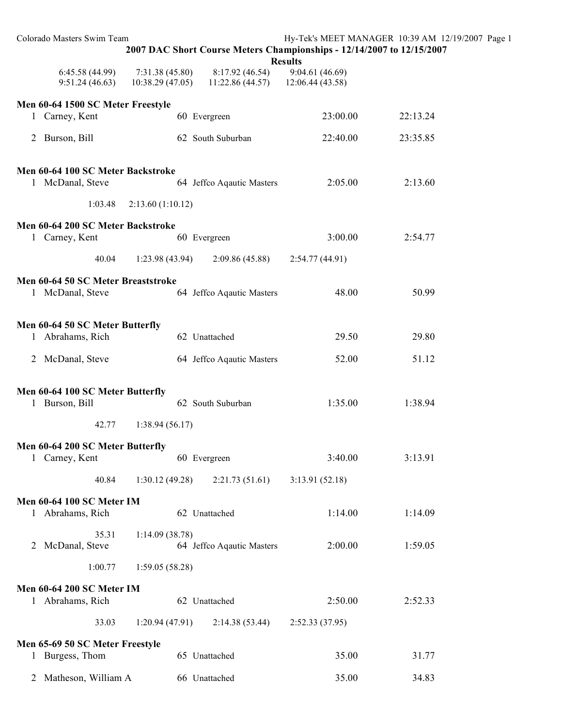| Colorado Masters Swim Team                             | 2007 DAC Short Course Meters Championships - 12/14/2007 to 12/15/2007 |                                   | <b>Results</b>                      | Hy-Tek's MEET MANAGER 10:39 AM 12/19/2007 Page 1 |  |
|--------------------------------------------------------|-----------------------------------------------------------------------|-----------------------------------|-------------------------------------|--------------------------------------------------|--|
| 6:45.58(44.99)<br>9:51.24(46.63)                       | 7:31.38(45.80)<br>10:38.29(47.05)                                     | 8:17.92(46.54)<br>11:22.86(44.57) | 9:04.61 (46.69)<br>12:06.44 (43.58) |                                                  |  |
| Men 60-64 1500 SC Meter Freestyle                      |                                                                       |                                   |                                     |                                                  |  |
| 1 Carney, Kent                                         | 60 Evergreen                                                          |                                   | 23:00.00                            | 22:13.24                                         |  |
| 2 Burson, Bill                                         |                                                                       | 62 South Suburban                 | 22:40.00                            | 23:35.85                                         |  |
| Men 60-64 100 SC Meter Backstroke                      |                                                                       |                                   |                                     |                                                  |  |
| 1 McDanal, Steve                                       |                                                                       | 64 Jeffco Aqautic Masters         | 2:05.00                             | 2:13.60                                          |  |
| 1:03.48                                                | 2:13.60(1:10.12)                                                      |                                   |                                     |                                                  |  |
| Men 60-64 200 SC Meter Backstroke<br>1 Carney, Kent    | 60 Evergreen                                                          |                                   | 3:00.00                             | 2:54.77                                          |  |
| 40.04                                                  | 1:23.98(43.94)                                                        | 2:09.86(45.88)                    | 2:54.77(44.91)                      |                                                  |  |
| Men 60-64 50 SC Meter Breaststroke<br>1 McDanal, Steve |                                                                       | 64 Jeffco Aqautic Masters         | 48.00                               | 50.99                                            |  |
| Men 60-64 50 SC Meter Butterfly                        |                                                                       |                                   |                                     |                                                  |  |
| 1 Abrahams, Rich                                       | 62 Unattached                                                         |                                   | 29.50                               | 29.80                                            |  |
| 2 McDanal, Steve                                       |                                                                       | 64 Jeffco Aqautic Masters         | 52.00                               | 51.12                                            |  |
| Men 60-64 100 SC Meter Butterfly                       |                                                                       |                                   |                                     |                                                  |  |
| 1 Burson, Bill                                         |                                                                       | 62 South Suburban                 | 1:35.00                             | 1:38.94                                          |  |
| 42.77                                                  | 1:38.94(56.17)                                                        |                                   |                                     |                                                  |  |
| Men 60-64 200 SC Meter Butterfly                       |                                                                       |                                   |                                     |                                                  |  |
| 1 Carney, Kent                                         | 60 Evergreen                                                          |                                   | 3:40.00                             | 3:13.91                                          |  |
| 40.84                                                  | 1:30.12(49.28)                                                        | 2:21.73(51.61)                    | 3:13.91(52.18)                      |                                                  |  |
| Men 60-64 100 SC Meter IM                              |                                                                       |                                   |                                     |                                                  |  |
| 1 Abrahams, Rich                                       | 62 Unattached                                                         |                                   | 1:14.00                             | 1:14.09                                          |  |
| 35.31                                                  | 1:14.09(38.78)                                                        |                                   |                                     |                                                  |  |
| 2 McDanal, Steve                                       |                                                                       | 64 Jeffco Aqautic Masters         | 2:00.00                             | 1:59.05                                          |  |
| 1:00.77                                                | 1:59.05(58.28)                                                        |                                   |                                     |                                                  |  |
| <b>Men 60-64 200 SC Meter IM</b><br>1 Abrahams, Rich   | 62 Unattached                                                         |                                   | 2:50.00                             | 2:52.33                                          |  |
| 33.03                                                  | 1:20.94(47.91)                                                        | 2:14.38(53.44)                    | 2:52.33 (37.95)                     |                                                  |  |
| Men 65-69 50 SC Meter Freestyle                        |                                                                       |                                   |                                     |                                                  |  |
| 1 Burgess, Thom                                        | 65 Unattached                                                         |                                   | 35.00                               | 31.77                                            |  |
| 2 Matheson, William A                                  | 66 Unattached                                                         |                                   | 35.00                               | 34.83                                            |  |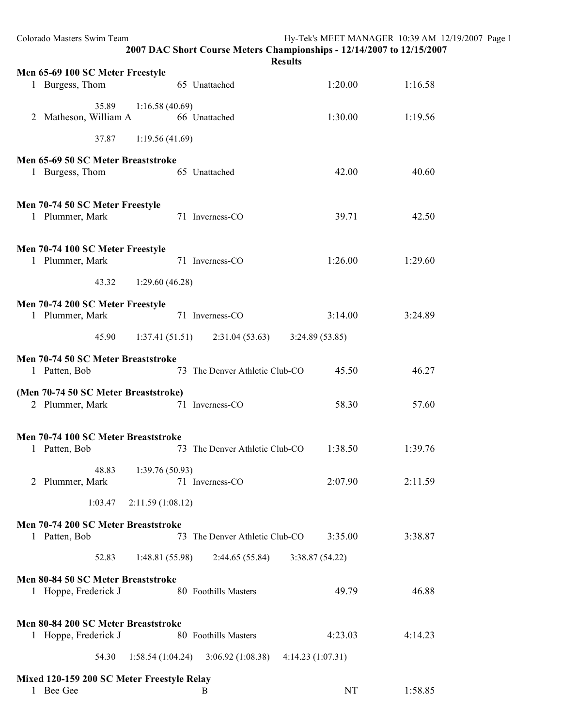| Colorado Masters Swim Team                              |                  | 2007 DAC Short Course Meters Championships - 12/14/2007 to 12/15/2007 | Hy-Tek's MEET MANAGER 10:39 AM 12/19/2007 Page 1<br><b>Results</b> |         |  |
|---------------------------------------------------------|------------------|-----------------------------------------------------------------------|--------------------------------------------------------------------|---------|--|
|                                                         |                  |                                                                       |                                                                    |         |  |
| Men 65-69 100 SC Meter Freestyle<br>1 Burgess, Thom     |                  | 65 Unattached                                                         | 1:20.00                                                            | 1:16.58 |  |
| 35.89<br>2 Matheson, William A                          | 1:16.58(40.69)   | 66 Unattached                                                         | 1:30.00                                                            | 1:19.56 |  |
| 37.87                                                   | 1:19.56(41.69)   |                                                                       |                                                                    |         |  |
| Men 65-69 50 SC Meter Breaststroke                      |                  |                                                                       |                                                                    |         |  |
| 1 Burgess, Thom                                         |                  | 65 Unattached                                                         | 42.00                                                              | 40.60   |  |
| Men 70-74 50 SC Meter Freestyle                         |                  |                                                                       |                                                                    |         |  |
| 1 Plummer, Mark                                         |                  | 71 Inverness-CO                                                       | 39.71                                                              | 42.50   |  |
| Men 70-74 100 SC Meter Freestyle                        |                  |                                                                       |                                                                    |         |  |
| 1 Plummer, Mark                                         |                  | 71 Inverness-CO                                                       | 1:26.00                                                            | 1:29.60 |  |
| 43.32                                                   | 1:29.60(46.28)   |                                                                       |                                                                    |         |  |
|                                                         |                  |                                                                       |                                                                    |         |  |
| Men 70-74 200 SC Meter Freestyle<br>1 Plummer, Mark     |                  | 71 Inverness-CO                                                       | 3:14.00                                                            | 3:24.89 |  |
| 45.90                                                   |                  | $1:37.41(51.51)$ $2:31.04(53.63)$                                     | 3:24.89(53.85)                                                     |         |  |
|                                                         |                  |                                                                       |                                                                    |         |  |
| Men 70-74 50 SC Meter Breaststroke<br>1 Patten, Bob     |                  | 73 The Denver Athletic Club-CO                                        | 45.50                                                              | 46.27   |  |
| (Men 70-74 50 SC Meter Breaststroke)                    |                  |                                                                       |                                                                    |         |  |
| 2 Plummer, Mark                                         |                  | 71 Inverness-CO                                                       | 58.30                                                              | 57.60   |  |
| Men 70-74 100 SC Meter Breaststroke                     |                  |                                                                       |                                                                    |         |  |
| Patten, Bob<br>1                                        |                  | 73 The Denver Athletic Club-CO                                        | 1:38.50                                                            | 1:39.76 |  |
| 48.83                                                   | 1:39.76(50.93)   |                                                                       |                                                                    |         |  |
| 2 Plummer, Mark                                         |                  | 71 Inverness-CO                                                       | 2:07.90                                                            | 2:11.59 |  |
| 1:03.47                                                 | 2:11.59(1:08.12) |                                                                       |                                                                    |         |  |
| Men 70-74 200 SC Meter Breaststroke                     |                  |                                                                       |                                                                    |         |  |
| 1 Patten, Bob                                           |                  | 73 The Denver Athletic Club-CO                                        | 3:35.00                                                            | 3:38.87 |  |
| 52.83                                                   | 1:48.81(55.98)   | 2:44.65(55.84)                                                        | 3:38.87(54.22)                                                     |         |  |
| Men 80-84 50 SC Meter Breaststroke                      |                  |                                                                       |                                                                    |         |  |
| 1 Hoppe, Frederick J                                    |                  | 80 Foothills Masters                                                  | 49.79                                                              | 46.88   |  |
| Men 80-84 200 SC Meter Breaststroke                     |                  |                                                                       |                                                                    |         |  |
| 1 Hoppe, Frederick J                                    |                  | 80 Foothills Masters                                                  | 4:23.03                                                            | 4:14.23 |  |
| 54.30                                                   | 1:58.54(1:04.24) | 3:06.92(1:08.38)                                                      | 4:14.23(1:07.31)                                                   |         |  |
|                                                         |                  |                                                                       |                                                                    |         |  |
| Mixed 120-159 200 SC Meter Freestyle Relay<br>1 Bee Gee |                  | B                                                                     | <b>NT</b>                                                          | 1:58.85 |  |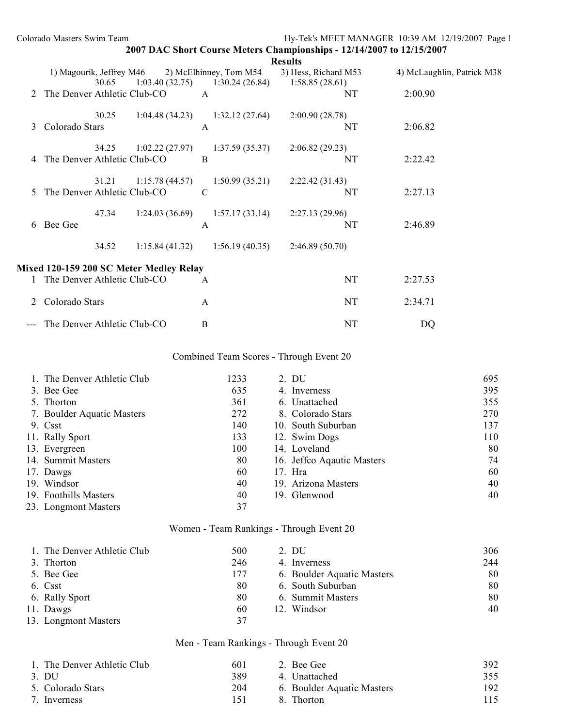|   | Colorado Masters Swim Team              |                                          |                |                                        | Hy-Tek's MEET MANAGER 10:39 AM 12/19/2007 Page 1                      |                            |
|---|-----------------------------------------|------------------------------------------|----------------|----------------------------------------|-----------------------------------------------------------------------|----------------------------|
|   |                                         |                                          |                | <b>Results</b>                         | 2007 DAC Short Course Meters Championships - 12/14/2007 to 12/15/2007 |                            |
|   | 1) Magourik, Jeffrey M46<br>30.65       | 2) McElhinney, Tom M54<br>1:03.40(32.75) | 1:30.24(26.84) | 3) Hess, Richard M53<br>1:58.85(28.61) |                                                                       | 4) McLaughlin, Patrick M38 |
|   | The Denver Athletic Club-CO             | $\mathsf{A}$                             |                | NT                                     | 2:00.90                                                               |                            |
| 3 | 30.25<br>Colorado Stars                 | 1:04.48(34.23)<br>$\mathbf{A}$           | 1:32.12(27.64) | 2:00.90(28.78)<br>NT                   | 2:06.82                                                               |                            |
| 4 | 34.25<br>The Denver Athletic Club-CO    | 1:02.22(27.97)<br>B                      | 1:37.59(35.37) | 2:06.82(29.23)<br>NT                   | 2:22.42                                                               |                            |
| 5 | 31.21<br>The Denver Athletic Club-CO    | 1:15.78(44.57)<br>$\mathcal{C}$          | 1:50.99(35.21) | 2:22.42(31.43)<br><b>NT</b>            | 2:27.13                                                               |                            |
| 6 | 47.34<br>Bee Gee                        | 1:24.03(36.69)<br>A                      | 1:57.17(33.14) | 2:27.13(29.96)<br><b>NT</b>            | 2:46.89                                                               |                            |
|   | 34.52                                   | 1:15.84(41.32)                           | 1:56.19(40.35) | 2:46.89(50.70)                         |                                                                       |                            |
|   | Mixed 120-159 200 SC Meter Medley Relay |                                          |                |                                        |                                                                       |                            |
|   | The Denver Athletic Club-CO             | A                                        |                | <b>NT</b>                              | 2:27.53                                                               |                            |
|   | Colorado Stars                          | A                                        |                | <b>NT</b>                              | 2:34.71                                                               |                            |
|   | The Denver Athletic Club-CO             | B                                        |                | NT                                     | DQ                                                                    |                            |

## Combined Team Scores - Through Event 20

| 1. The Denver Athletic Club | 1233 | 2. DU                      | 695 |
|-----------------------------|------|----------------------------|-----|
| 3. Bee Gee                  | 635  | 4. Inverness               | 395 |
| 5. Thorton                  | 361  | 6. Unattached              | 355 |
| 7. Boulder Aquatic Masters  | 272  | 8. Colorado Stars          | 270 |
| 9. Csst                     | 140  | 10. South Suburban         | 137 |
| 11. Rally Sport             | 133  | 12. Swim Dogs              | 110 |
| 13. Evergreen               | 100  | 14. Loveland               | 80  |
| 14. Summit Masters          | 80   | 16. Jeffco Aqautic Masters | 74  |
| 17. Dawgs                   | 60   | 17. Hra                    | 60  |
| 19. Windsor                 | 40   | 19. Arizona Masters        | 40  |
| 19. Foothills Masters       | 40   | 19. Glenwood               | 40  |
| 23. Longmont Masters        | 37   |                            |     |

# Women - Team Rankings - Through Event 20

| 1. The Denver Athletic Club | 500 | 2. DU                      | 306 |
|-----------------------------|-----|----------------------------|-----|
| 3. Thorton                  | 246 | 4. Inverness               | 244 |
| 5. Bee Gee                  | 177 | 6. Boulder Aquatic Masters | 80  |
| 6. Csst                     | 80  | 6. South Suburban          | 80  |
| 6. Rally Sport              | 80  | 6. Summit Masters          | 80  |
| 11. Dawgs                   | 60  | 12. Windsor                | 40  |
| 13. Longmont Masters        | 37  |                            |     |

# Men - Team Rankings - Through Event 20

| 1. The Denver Athletic Club | 601 | 2. Bee Gee                 | 392 |
|-----------------------------|-----|----------------------------|-----|
| 3. DU                       | 389 | 4 Unattached               | 355 |
| 5. Colorado Stars           | 204 | 6. Boulder Aquatic Masters | 192 |
| 7. Inverness                | 151 | - Thorton<br>8             | 115 |